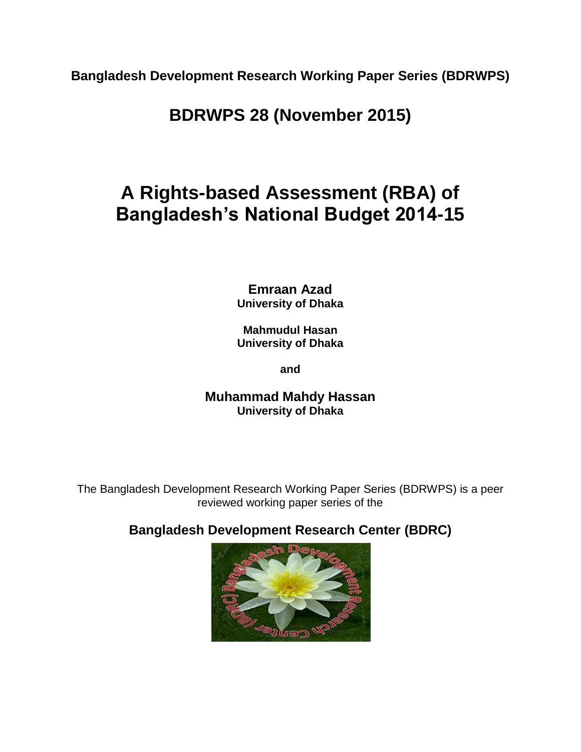**Bangladesh Development Research Working Paper Series (BDRWPS)**

**BDRWPS 28 (November 2015)**

# **A Rights-based Assessment (RBA) of Bangladesh's National Budget 2014-15**

**Emraan Azad University of Dhaka**

**Mahmudul Hasan University of Dhaka**

**and**

**Muhammad Mahdy Hassan University of Dhaka**

The Bangladesh Development Research Working Paper Series (BDRWPS) is a peer reviewed working paper series of the

**Bangladesh Development Research Center (BDRC)**

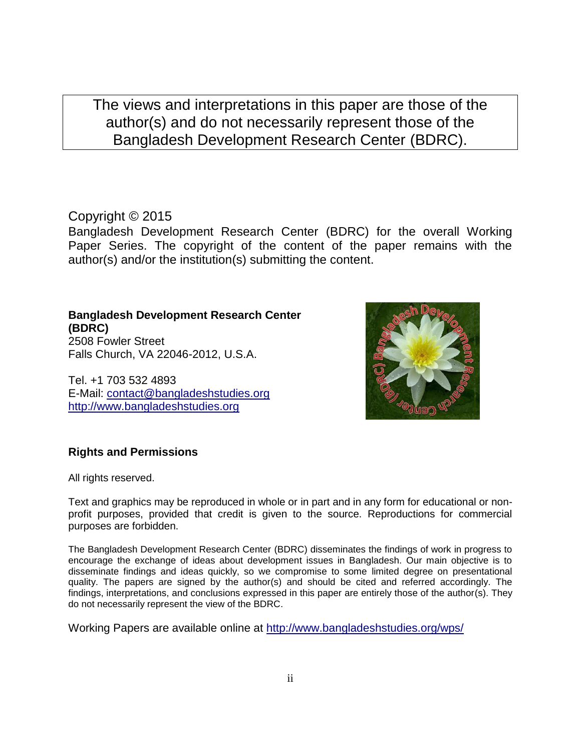The views and interpretations in this paper are those of the author(s) and do not necessarily represent those of the Bangladesh Development Research Center (BDRC).

### Copyright © 2015

Bangladesh Development Research Center (BDRC) for the overall Working Paper Series. The copyright of the content of the paper remains with the author(s) and/or the institution(s) submitting the content.

**Bangladesh Development Research Center (BDRC)**  2508 Fowler Street Falls Church, VA 22046-2012, U.S.A.

Tel. +1 703 532 4893 E-Mail: [contact@bangladeshstudies.org](mailto:contact@bangladeshstudies.org) [http://www.bangladeshstudies.org](http://www.bangladeshstudies.org/)



### **Rights and Permissions**

All rights reserved.

Text and graphics may be reproduced in whole or in part and in any form for educational or nonprofit purposes, provided that credit is given to the source. Reproductions for commercial purposes are forbidden.

The Bangladesh Development Research Center (BDRC) disseminates the findings of work in progress to encourage the exchange of ideas about development issues in Bangladesh. Our main objective is to disseminate findings and ideas quickly, so we compromise to some limited degree on presentational quality. The papers are signed by the author(s) and should be cited and referred accordingly. The findings, interpretations, and conclusions expressed in this paper are entirely those of the author(s). They do not necessarily represent the view of the BDRC.

Working Papers are available online at<http://www.bangladeshstudies.org/wps/>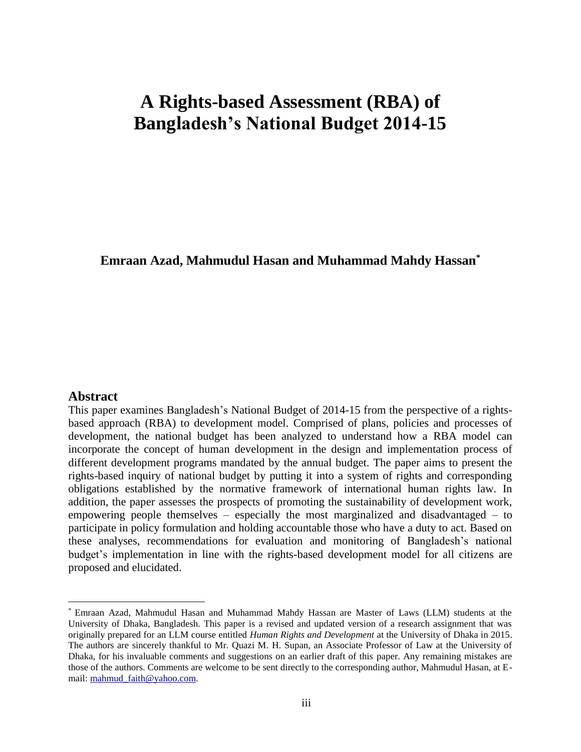## **A Rights-based Assessment (RBA) of Bangladesh's National Budget 2014-15**

### **Emraan Azad, Mahmudul Hasan and Muhammad Mahdy Hassan\***

### **Abstract**

 $\overline{a}$ 

This paper examines Bangladesh's National Budget of 2014-15 from the perspective of a rightsbased approach (RBA) to development model. Comprised of plans, policies and processes of development, the national budget has been analyzed to understand how a RBA model can incorporate the concept of human development in the design and implementation process of different development programs mandated by the annual budget. The paper aims to present the rights-based inquiry of national budget by putting it into a system of rights and corresponding obligations established by the normative framework of international human rights law. In addition, the paper assesses the prospects of promoting the sustainability of development work, empowering people themselves – especially the most marginalized and disadvantaged – to participate in policy formulation and holding accountable those who have a duty to act. Based on these analyses, recommendations for evaluation and monitoring of Bangladesh's national budget's implementation in line with the rights-based development model for all citizens are proposed and elucidated.

<sup>\*</sup> Emraan Azad, Mahmudul Hasan and Muhammad Mahdy Hassan are Master of Laws (LLM) students at the University of Dhaka, Bangladesh. This paper is a revised and updated version of a research assignment that was originally prepared for an LLM course entitled *Human Rights and Development* at the University of Dhaka in 2015. The authors are sincerely thankful to Mr. Quazi M. H. Supan, an Associate Professor of Law at the University of Dhaka, for his invaluable comments and suggestions on an earlier draft of this paper. Any remaining mistakes are those of the authors. Comments are welcome to be sent directly to the corresponding author, Mahmudul Hasan, at Email: [mahmud\\_faith@yahoo.com.](mailto:mahmud_faith@yahoo.com)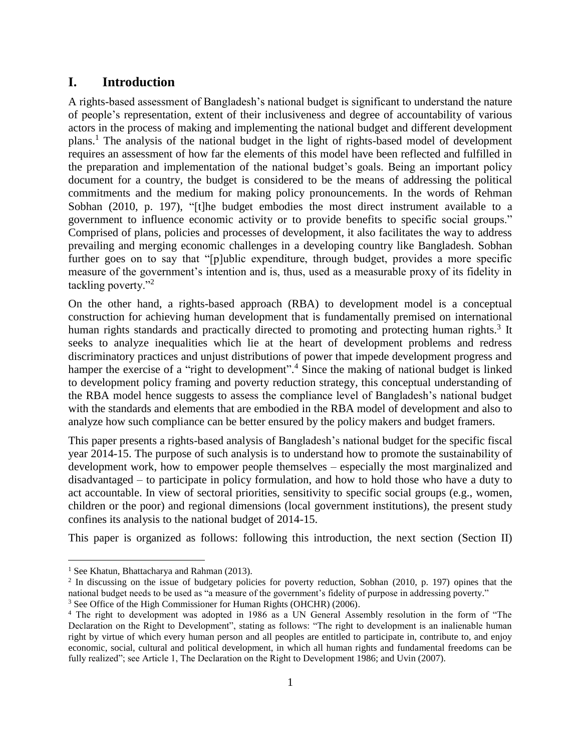### **I. Introduction**

A rights-based assessment of Bangladesh's national budget is significant to understand the nature of people's representation, extent of their inclusiveness and degree of accountability of various actors in the process of making and implementing the national budget and different development plans.<sup>1</sup> The analysis of the national budget in the light of rights-based model of development requires an assessment of how far the elements of this model have been reflected and fulfilled in the preparation and implementation of the national budget's goals. Being an important policy document for a country, the budget is considered to be the means of addressing the political commitments and the medium for making policy pronouncements. In the words of Rehman Sobhan (2010, p. 197), "[t]he budget embodies the most direct instrument available to a government to influence economic activity or to provide benefits to specific social groups." Comprised of plans, policies and processes of development, it also facilitates the way to address prevailing and merging economic challenges in a developing country like Bangladesh. Sobhan further goes on to say that "[p]ublic expenditure, through budget, provides a more specific measure of the government's intention and is, thus, used as a measurable proxy of its fidelity in tackling poverty."<sup>2</sup>

On the other hand, a rights-based approach (RBA) to development model is a conceptual construction for achieving human development that is fundamentally premised on international human rights standards and practically directed to promoting and protecting human rights.<sup>3</sup> It seeks to analyze inequalities which lie at the heart of development problems and redress discriminatory practices and unjust distributions of power that impede development progress and hamper the exercise of a "right to development".<sup>4</sup> Since the making of national budget is linked to development policy framing and poverty reduction strategy, this conceptual understanding of the RBA model hence suggests to assess the compliance level of Bangladesh's national budget with the standards and elements that are embodied in the RBA model of development and also to analyze how such compliance can be better ensured by the policy makers and budget framers.

This paper presents a rights-based analysis of Bangladesh's national budget for the specific fiscal year 2014-15. The purpose of such analysis is to understand how to promote the sustainability of development work, how to empower people themselves – especially the most marginalized and disadvantaged – to participate in policy formulation, and how to hold those who have a duty to act accountable. In view of sectoral priorities, sensitivity to specific social groups (e.g., women, children or the poor) and regional dimensions (local government institutions), the present study confines its analysis to the national budget of 2014-15.

This paper is organized as follows: following this introduction, the next section (Section II)

<sup>&</sup>lt;sup>1</sup> See Khatun, Bhattacharya and Rahman (2013).

<sup>&</sup>lt;sup>2</sup> In discussing on the issue of budgetary policies for poverty reduction, Sobhan (2010, p. 197) opines that the national budget needs to be used as "a measure of the government's fidelity of purpose in addressing poverty." <sup>3</sup> See Office of the High Commissioner for Human Rights (OHCHR) (2006).

<sup>4</sup> The right to development was adopted in 1986 as a UN General Assembly resolution in the form of "The Declaration on the Right to Development", stating as follows: "The right to development is an inalienable human right by virtue of which every human person and all peoples are entitled to participate in, contribute to, and enjoy economic, social, cultural and political development, in which all human rights and fundamental freedoms can be fully realized"; see Article 1, The Declaration on the Right to Development 1986; and Uvin (2007).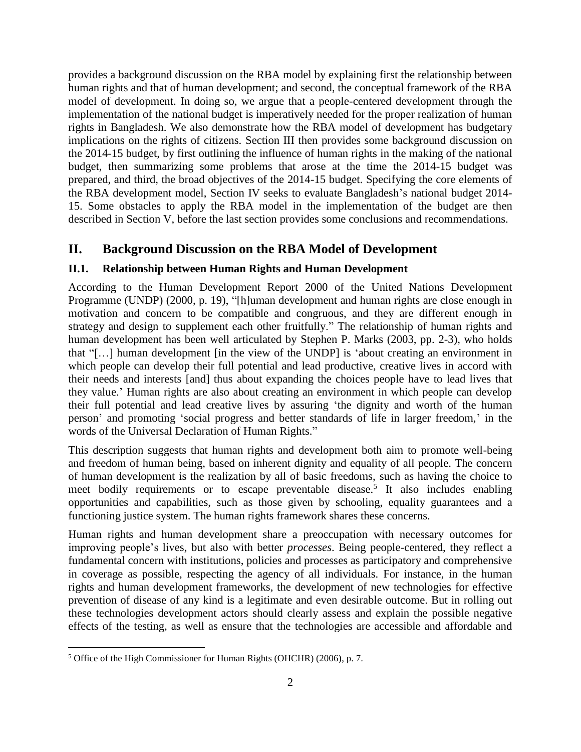provides a background discussion on the RBA model by explaining first the relationship between human rights and that of human development; and second, the conceptual framework of the RBA model of development. In doing so, we argue that a people-centered development through the implementation of the national budget is imperatively needed for the proper realization of human rights in Bangladesh. We also demonstrate how the RBA model of development has budgetary implications on the rights of citizens. Section III then provides some background discussion on the 2014-15 budget, by first outlining the influence of human rights in the making of the national budget, then summarizing some problems that arose at the time the 2014-15 budget was prepared, and third, the broad objectives of the 2014-15 budget. Specifying the core elements of the RBA development model, Section IV seeks to evaluate Bangladesh's national budget 2014- 15. Some obstacles to apply the RBA model in the implementation of the budget are then described in Section V, before the last section provides some conclusions and recommendations.

### **II. Background Discussion on the RBA Model of Development**

### **II.1. Relationship between Human Rights and Human Development**

According to the Human Development Report 2000 of the United Nations Development Programme (UNDP) (2000, p. 19), "[h]uman development and human rights are close enough in motivation and concern to be compatible and congruous, and they are different enough in strategy and design to supplement each other fruitfully." The relationship of human rights and human development has been well articulated by Stephen P. Marks (2003, pp. 2-3), who holds that "[…] human development [in the view of the UNDP] is 'about creating an environment in which people can develop their full potential and lead productive, creative lives in accord with their needs and interests [and] thus about expanding the choices people have to lead lives that they value.' Human rights are also about creating an environment in which people can develop their full potential and lead creative lives by assuring 'the dignity and worth of the human person' and promoting 'social progress and better standards of life in larger freedom,' in the words of the Universal Declaration of Human Rights."

This description suggests that human rights and development both aim to promote well-being and freedom of human being, based on inherent dignity and equality of all people. The concern of human development is the realization by all of basic freedoms, such as having the choice to meet bodily requirements or to escape preventable disease.<sup>5</sup> It also includes enabling opportunities and capabilities, such as those given by schooling, equality guarantees and a functioning justice system. The human rights framework shares these concerns.

Human rights and human development share a preoccupation with necessary outcomes for improving people's lives, but also with better *processes*. Being people-centered, they reflect a fundamental concern with institutions, policies and processes as participatory and comprehensive in coverage as possible, respecting the agency of all individuals. For instance, in the human rights and human development frameworks, the development of new technologies for effective prevention of disease of any kind is a legitimate and even desirable outcome. But in rolling out these technologies development actors should clearly assess and explain the possible negative effects of the testing, as well as ensure that the technologies are accessible and affordable and

 $\overline{a}$ <sup>5</sup> Office of the High Commissioner for Human Rights (OHCHR) (2006), p. 7.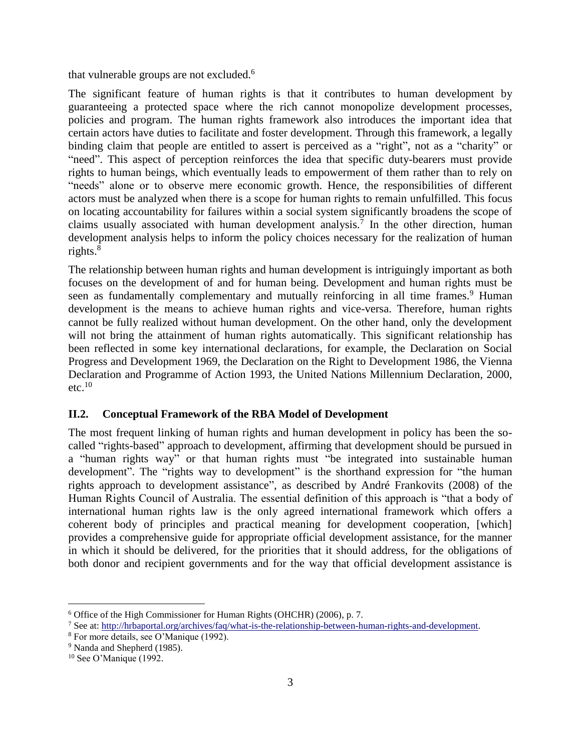that vulnerable groups are not excluded.<sup>6</sup>

The significant feature of human rights is that it contributes to human development by guaranteeing a protected space where the rich cannot monopolize development processes, policies and program. The human rights framework also introduces the important idea that certain actors have duties to facilitate and foster development. Through this framework, a legally binding claim that people are entitled to assert is perceived as a "right", not as a "charity" or "need". This aspect of perception reinforces the idea that specific duty-bearers must provide rights to human beings, which eventually leads to empowerment of them rather than to rely on "needs" alone or to observe mere economic growth. Hence, the responsibilities of different actors must be analyzed when there is a scope for human rights to remain unfulfilled. This focus on locating accountability for failures within a social system significantly broadens the scope of claims usually associated with human development analysis.<sup>7</sup> In the other direction, human development analysis helps to inform the policy choices necessary for the realization of human rights.<sup>8</sup>

The relationship between human rights and human development is intriguingly important as both focuses on the development of and for human being. Development and human rights must be seen as fundamentally complementary and mutually reinforcing in all time frames.<sup>9</sup> Human development is the means to achieve human rights and vice-versa. Therefore, human rights cannot be fully realized without human development. On the other hand, only the development will not bring the attainment of human rights automatically. This significant relationship has been reflected in some key international declarations, for example, the Declaration on Social Progress and Development 1969, the Declaration on the Right to Development 1986, the Vienna Declaration and Programme of Action 1993, the United Nations Millennium Declaration, 2000,  $etc.<sup>10</sup>$ 

### **II.2. Conceptual Framework of the RBA Model of Development**

The most frequent linking of human rights and human development in policy has been the socalled "rights-based" approach to development, affirming that development should be pursued in a "human rights way" or that human rights must "be integrated into sustainable human development". The "rights way to development" is the shorthand expression for "the human rights approach to development assistance", as described by André Frankovits (2008) of the Human Rights Council of Australia. The essential definition of this approach is "that a body of international human rights law is the only agreed international framework which offers a coherent body of principles and practical meaning for development cooperation, [which] provides a comprehensive guide for appropriate official development assistance, for the manner in which it should be delivered, for the priorities that it should address, for the obligations of both donor and recipient governments and for the way that official development assistance is

<sup>6</sup> Office of the High Commissioner for Human Rights (OHCHR) (2006), p. 7.

<sup>7</sup> See at: [http://hrbaportal.org/archives/faq/what-is-the-relationship-between-human-rights-and-development.](http://hrbaportal.org/archives/faq/what-is-the-relationship-between-human-rights-and-development)

<sup>8</sup> For more details, see O'Manique (1992).

<sup>&</sup>lt;sup>9</sup> Nanda and Shepherd (1985).

<sup>&</sup>lt;sup>10</sup> See O'Manique (1992.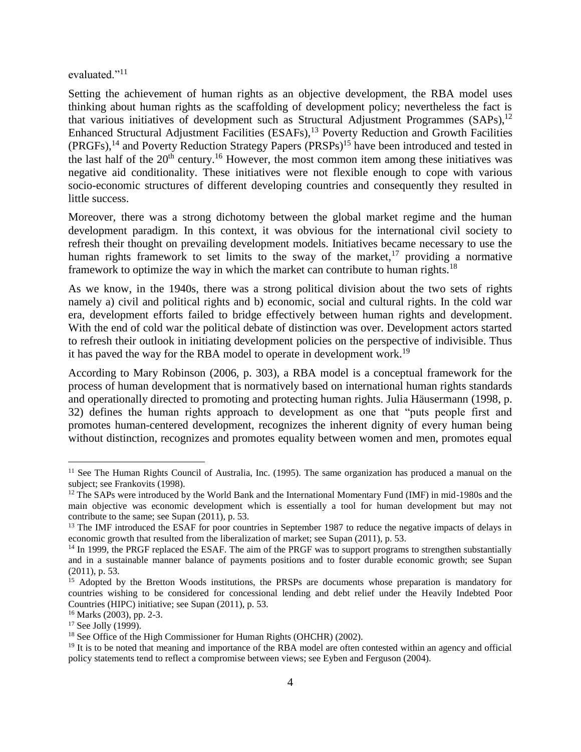### evaluated."<sup>11</sup>

Setting the achievement of human rights as an objective development, the RBA model uses thinking about human rights as the scaffolding of development policy; nevertheless the fact is that various initiatives of development such as Structural Adjustment Programmes (SAPs),<sup>12</sup> Enhanced Structural Adjustment Facilities (ESAFs),<sup>13</sup> Poverty Reduction and Growth Facilities (PRGFs),<sup>14</sup> and Poverty Reduction Strategy Papers (PRSPs)<sup>15</sup> have been introduced and tested in the last half of the  $20<sup>th</sup>$  century.<sup>16</sup> However, the most common item among these initiatives was negative aid conditionality. These initiatives were not flexible enough to cope with various socio-economic structures of different developing countries and consequently they resulted in little success.

Moreover, there was a strong dichotomy between the global market regime and the human development paradigm. In this context, it was obvious for the international civil society to refresh their thought on prevailing development models. Initiatives became necessary to use the human rights framework to set limits to the sway of the market,<sup>17</sup> providing a normative framework to optimize the way in which the market can contribute to human rights.<sup>18</sup>

As we know, in the 1940s, there was a strong political division about the two sets of rights namely a) civil and political rights and b) economic, social and cultural rights. In the cold war era, development efforts failed to bridge effectively between human rights and development. With the end of cold war the political debate of distinction was over. Development actors started to refresh their outlook in initiating development policies on the perspective of indivisible. Thus it has paved the way for the RBA model to operate in development work.<sup>19</sup>

According to Mary Robinson (2006, p. 303), a RBA model is a conceptual framework for the process of human development that is normatively based on international human rights standards and operationally directed to promoting and protecting human rights. Julia Häusermann (1998, p. 32) defines the human rights approach to development as one that "puts people first and promotes human-centered development, recognizes the inherent dignity of every human being without distinction, recognizes and promotes equality between women and men, promotes equal

<sup>&</sup>lt;sup>11</sup> See The Human Rights Council of Australia, Inc. (1995). The same organization has produced a manual on the subject; see Frankovits (1998).

<sup>&</sup>lt;sup>12</sup> The SAPs were introduced by the World Bank and the International Momentary Fund (IMF) in mid-1980s and the main objective was economic development which is essentially a tool for human development but may not contribute to the same; see Supan (2011), p. 53.

<sup>&</sup>lt;sup>13</sup> The IMF introduced the ESAF for poor countries in September 1987 to reduce the negative impacts of delays in economic growth that resulted from the liberalization of market; see Supan (2011), p. 53.

<sup>&</sup>lt;sup>14</sup> In 1999, the PRGF replaced the ESAF. The aim of the PRGF was to support programs to strengthen substantially and in a sustainable manner balance of payments positions and to foster durable economic growth; see Supan (2011), p. 53.

<sup>&</sup>lt;sup>15</sup> Adopted by the Bretton Woods institutions, the PRSPs are documents whose preparation is mandatory for countries wishing to be considered for concessional lending and debt relief under the Heavily Indebted Poor Countries (HIPC) initiative; see Supan (2011), p. 53.

<sup>16</sup> Marks (2003), pp. 2-3.

 $17$  See Jolly (1999).

<sup>&</sup>lt;sup>18</sup> See Office of the High Commissioner for Human Rights (OHCHR) (2002).

<sup>&</sup>lt;sup>19</sup> It is to be noted that meaning and importance of the RBA model are often contested within an agency and official policy statements tend to reflect a compromise between views; see Eyben and Ferguson (2004).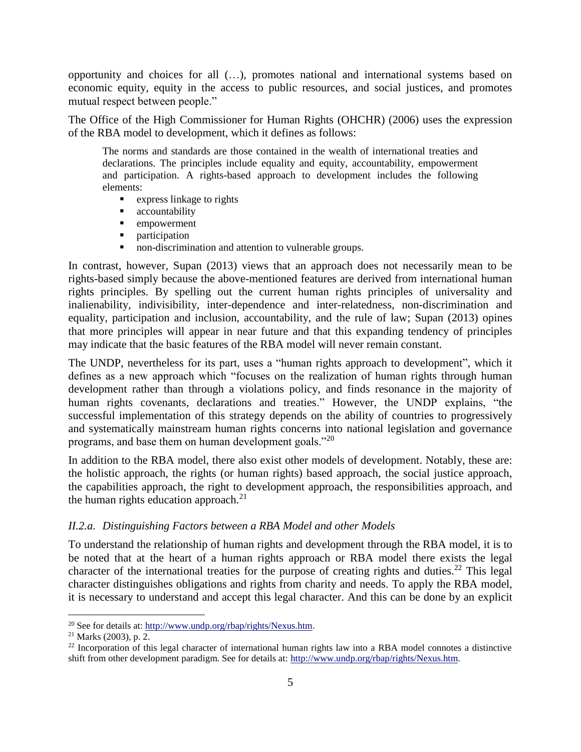opportunity and choices for all (…), promotes national and international systems based on economic equity, equity in the access to public resources, and social justices, and promotes mutual respect between people."

The Office of the High Commissioner for Human Rights (OHCHR) (2006) uses the expression of the RBA model to development, which it defines as follows:

The norms and standards are those contained in the wealth of international treaties and declarations. The principles include equality and equity, accountability, empowerment and participation. A rights-based approach to development includes the following elements:

- **EXPRESS** linkage to rights
- **accountability**<br>**empowerment**
- empowerment
- **participation**
- non-discrimination and attention to vulnerable groups.

In contrast, however, Supan (2013) views that an approach does not necessarily mean to be rights-based simply because the above-mentioned features are derived from international human rights principles. By spelling out the current human rights principles of universality and inalienability, indivisibility, inter-dependence and inter-relatedness, non-discrimination and equality, participation and inclusion, accountability, and the rule of law; Supan (2013) opines that more principles will appear in near future and that this expanding tendency of principles may indicate that the basic features of the RBA model will never remain constant.

The UNDP, nevertheless for its part, uses a "human rights approach to development", which it defines as a new approach which "focuses on the realization of human rights through human development rather than through a violations policy, and finds resonance in the majority of human rights covenants, declarations and treaties." However, the UNDP explains, "the successful implementation of this strategy depends on the ability of countries to progressively and systematically mainstream human rights concerns into national legislation and governance programs, and base them on human development goals."<sup>20</sup>

In addition to the RBA model, there also exist other models of development. Notably, these are: the holistic approach, the rights (or human rights) based approach, the social justice approach, the capabilities approach, the right to development approach, the responsibilities approach, and the human rights education approach. $21$ 

#### *II.2.a. Distinguishing Factors between a RBA Model and other Models*

To understand the relationship of human rights and development through the RBA model, it is to be noted that at the heart of a human rights approach or RBA model there exists the legal character of the international treaties for the purpose of creating rights and duties.<sup>22</sup> This legal character distinguishes obligations and rights from charity and needs. To apply the RBA model, it is necessary to understand and accept this legal character. And this can be done by an explicit

<sup>&</sup>lt;sup>20</sup> See for details at: [http://www.undp.org/rbap/rights/Nexus.htm.](http://www.undp.org/rbap/rights/Nexus.htm)

<sup>21</sup> Marks (2003), p. 2.

<sup>&</sup>lt;sup>22</sup> Incorporation of this legal character of international human rights law into a RBA model connotes a distinctive shift from other development paradigm. See for details at: [http://www.undp.org/rbap/rights/Nexus.htm.](http://www.undp.org/rbap/rights/Nexus.htm)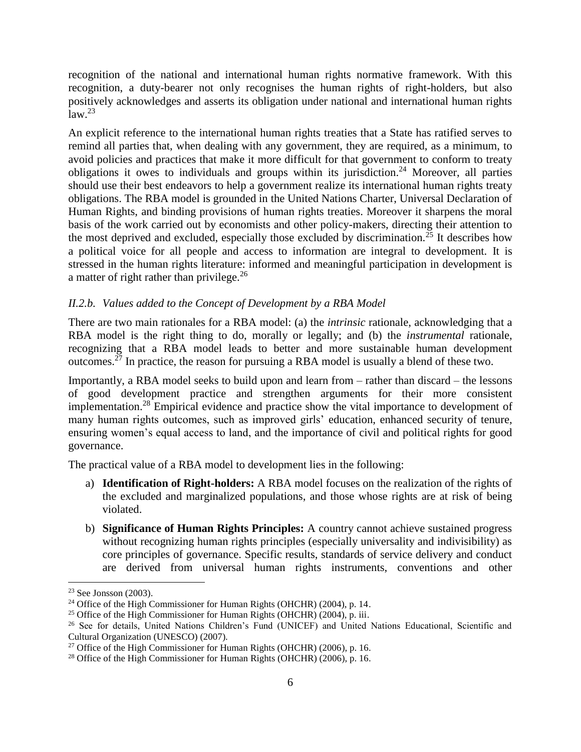recognition of the national and international human rights normative framework. With this recognition, a duty-bearer not only recognises the human rights of right-holders, but also positively acknowledges and asserts its obligation under national and international human rights  $law.<sup>23</sup>$ 

An explicit reference to the international human rights treaties that a State has ratified serves to remind all parties that, when dealing with any government, they are required, as a minimum, to avoid policies and practices that make it more difficult for that government to conform to treaty obligations it owes to individuals and groups within its jurisdiction.<sup>24</sup> Moreover, all parties should use their best endeavors to help a government realize its international human rights treaty obligations. The RBA model is grounded in the United Nations Charter, Universal Declaration of Human Rights, and binding provisions of human rights treaties. Moreover it sharpens the moral basis of the work carried out by economists and other policy-makers, directing their attention to the most deprived and excluded, especially those excluded by discrimination.<sup>25</sup> It describes how a political voice for all people and access to information are integral to development. It is stressed in the human rights literature: informed and meaningful participation in development is a matter of right rather than privilege.<sup>26</sup>

### *II.2.b. Values added to the Concept of Development by a RBA Model*

There are two main rationales for a RBA model: (a) the *intrinsic* rationale, acknowledging that a RBA model is the right thing to do, morally or legally; and (b) the *instrumental* rationale, recognizing that a RBA model leads to better and more sustainable human development outcomes.<sup>27</sup> In practice, the reason for pursuing a RBA model is usually a blend of these two.

Importantly, a RBA model seeks to build upon and learn from – rather than discard – the lessons of good development practice and strengthen arguments for their more consistent implementation.<sup>28</sup> Empirical evidence and practice show the vital importance to development of many human rights outcomes, such as improved girls' education, enhanced security of tenure, ensuring women's equal access to land, and the importance of civil and political rights for good governance.

The practical value of a RBA model to development lies in the following:

- a) **Identification of Right-holders:** A RBA model focuses on the realization of the rights of the excluded and marginalized populations, and those whose rights are at risk of being violated.
- b) **Significance of Human Rights Principles:** A country cannot achieve sustained progress without recognizing human rights principles (especially universality and indivisibility) as core principles of governance. Specific results, standards of service delivery and conduct are derived from universal human rights instruments, conventions and other

<sup>23</sup> See Jonsson (2003).

<sup>&</sup>lt;sup>24</sup> Office of the High Commissioner for Human Rights (OHCHR) (2004), p. 14.

<sup>&</sup>lt;sup>25</sup> Office of the High Commissioner for Human Rights (OHCHR) (2004), p. iii.

<sup>&</sup>lt;sup>26</sup> See for details, United Nations Children's Fund (UNICEF) and United Nations Educational, Scientific and Cultural Organization (UNESCO) (2007).

<sup>&</sup>lt;sup>27</sup> Office of the High Commissioner for Human Rights (OHCHR) (2006), p. 16.

<sup>&</sup>lt;sup>28</sup> Office of the High Commissioner for Human Rights (OHCHR) (2006), p. 16.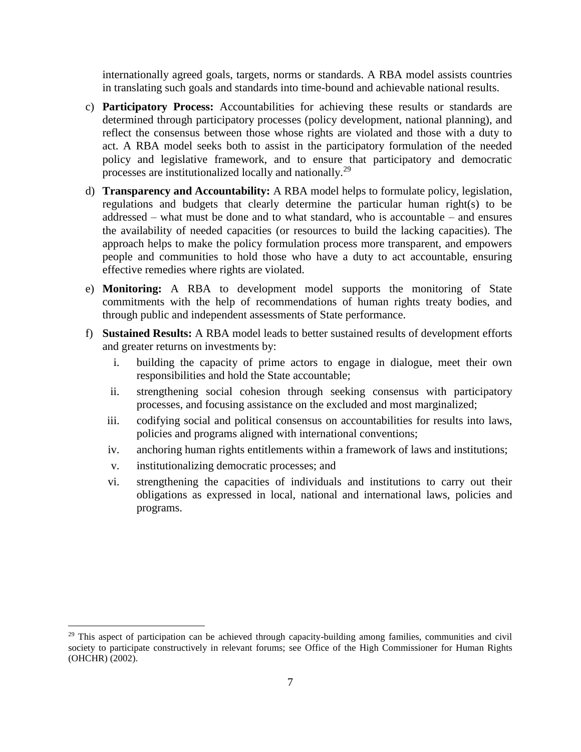internationally agreed goals, targets, norms or standards. A RBA model assists countries in translating such goals and standards into time-bound and achievable national results.

- c) **Participatory Process:** Accountabilities for achieving these results or standards are determined through participatory processes (policy development, national planning), and reflect the consensus between those whose rights are violated and those with a duty to act. A RBA model seeks both to assist in the participatory formulation of the needed policy and legislative framework, and to ensure that participatory and democratic processes are institutionalized locally and nationally.<sup>29</sup>
- d) **Transparency and Accountability:** A RBA model helps to formulate policy, legislation, regulations and budgets that clearly determine the particular human right(s) to be addressed – what must be done and to what standard, who is accountable – and ensures the availability of needed capacities (or resources to build the lacking capacities). The approach helps to make the policy formulation process more transparent, and empowers people and communities to hold those who have a duty to act accountable, ensuring effective remedies where rights are violated.
- e) **Monitoring:** A RBA to development model supports the monitoring of State commitments with the help of recommendations of human rights treaty bodies, and through public and independent assessments of State performance.
- f) **Sustained Results:** A RBA model leads to better sustained results of development efforts and greater returns on investments by:
	- i. building the capacity of prime actors to engage in dialogue, meet their own responsibilities and hold the State accountable;
	- ii. strengthening social cohesion through seeking consensus with participatory processes, and focusing assistance on the excluded and most marginalized;
	- iii. codifying social and political consensus on accountabilities for results into laws, policies and programs aligned with international conventions;
	- iv. anchoring human rights entitlements within a framework of laws and institutions;
	- v. institutionalizing democratic processes; and

 $\overline{a}$ 

vi. strengthening the capacities of individuals and institutions to carry out their obligations as expressed in local, national and international laws, policies and programs.

<sup>&</sup>lt;sup>29</sup> This aspect of participation can be achieved through capacity-building among families, communities and civil society to participate constructively in relevant forums; see Office of the High Commissioner for Human Rights (OHCHR) (2002).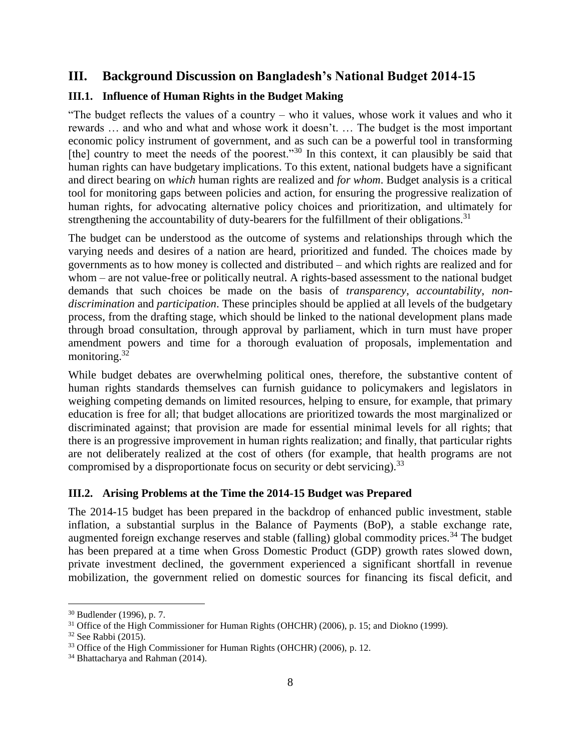### **III. Background Discussion on Bangladesh's National Budget 2014-15**

### **III.1. Influence of Human Rights in the Budget Making**

"The budget reflects the values of a country – who it values, whose work it values and who it rewards … and who and what and whose work it doesn't. … The budget is the most important economic policy instrument of government, and as such can be a powerful tool in transforming [the] country to meet the needs of the poorest."<sup>30</sup> In this context, it can plausibly be said that human rights can have budgetary implications. To this extent, national budgets have a significant and direct bearing on *which* human rights are realized and *for whom*. Budget analysis is a critical tool for monitoring gaps between policies and action, for ensuring the progressive realization of human rights, for advocating alternative policy choices and prioritization, and ultimately for strengthening the accountability of duty-bearers for the fulfillment of their obligations.<sup>31</sup>

The budget can be understood as the outcome of systems and relationships through which the varying needs and desires of a nation are heard, prioritized and funded. The choices made by governments as to how money is collected and distributed – and which rights are realized and for whom – are not value-free or politically neutral. A rights-based assessment to the national budget demands that such choices be made on the basis of *transparency*, *accountability*, *nondiscrimination* and *participation*. These principles should be applied at all levels of the budgetary process, from the drafting stage, which should be linked to the national development plans made through broad consultation, through approval by parliament, which in turn must have proper amendment powers and time for a thorough evaluation of proposals, implementation and monitoring. $32$ 

While budget debates are overwhelming political ones, therefore, the substantive content of human rights standards themselves can furnish guidance to policymakers and legislators in weighing competing demands on limited resources, helping to ensure, for example, that primary education is free for all; that budget allocations are prioritized towards the most marginalized or discriminated against; that provision are made for essential minimal levels for all rights; that there is an progressive improvement in human rights realization; and finally, that particular rights are not deliberately realized at the cost of others (for example, that health programs are not compromised by a disproportionate focus on security or debt servicing).<sup>33</sup>

### **III.2. Arising Problems at the Time the 2014-15 Budget was Prepared**

The 2014-15 budget has been prepared in the backdrop of enhanced public investment, stable inflation, a substantial surplus in the Balance of Payments (BoP), a stable exchange rate, augmented foreign exchange reserves and stable (falling) global commodity prices.<sup>34</sup> The budget has been prepared at a time when Gross Domestic Product (GDP) growth rates slowed down, private investment declined, the government experienced a significant shortfall in revenue mobilization, the government relied on domestic sources for financing its fiscal deficit, and

<sup>30</sup> Budlender (1996), p. 7.

 $31$  Office of the High Commissioner for Human Rights (OHCHR) (2006), p. 15; and Diokno (1999).

 $32$  See Rabbi (2015).

<sup>&</sup>lt;sup>33</sup> Office of the High Commissioner for Human Rights (OHCHR) (2006), p. 12.

<sup>34</sup> Bhattacharya and Rahman (2014).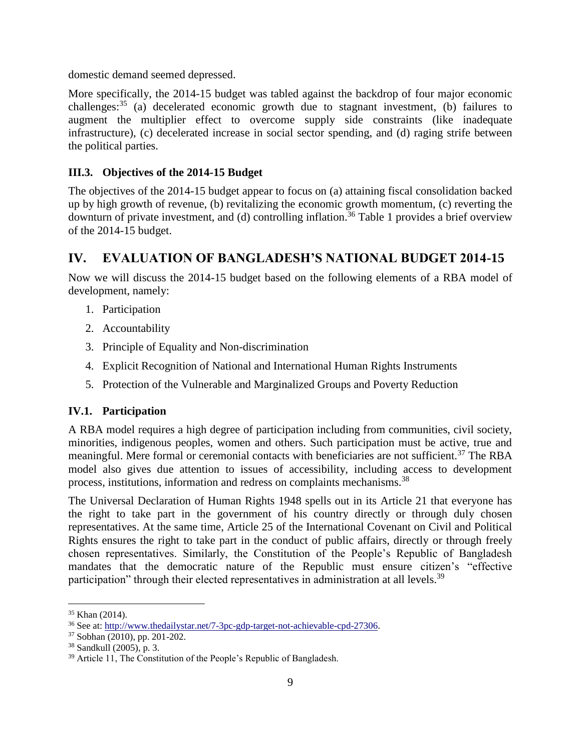domestic demand seemed depressed.

More specifically, the 2014-15 budget was tabled against the backdrop of four major economic challenges: $35$  (a) decelerated economic growth due to stagnant investment, (b) failures to augment the multiplier effect to overcome supply side constraints (like inadequate infrastructure), (c) decelerated increase in social sector spending, and (d) raging strife between the political parties.

### **III.3. Objectives of the 2014-15 Budget**

The objectives of the 2014-15 budget appear to focus on (a) attaining fiscal consolidation backed up by high growth of revenue, (b) revitalizing the economic growth momentum, (c) reverting the downturn of private investment, and (d) controlling inflation.<sup>36</sup> Table 1 provides a brief overview of the 2014-15 budget.

### **IV. EVALUATION OF BANGLADESH'S NATIONAL BUDGET 2014-15**

Now we will discuss the 2014-15 budget based on the following elements of a RBA model of development, namely:

- 1. Participation
- 2. Accountability
- 3. Principle of Equality and Non-discrimination
- 4. Explicit Recognition of National and International Human Rights Instruments
- 5. Protection of the Vulnerable and Marginalized Groups and Poverty Reduction

### **IV.1. Participation**

A RBA model requires a high degree of participation including from communities, civil society, minorities, indigenous peoples, women and others. Such participation must be active, true and meaningful. Mere formal or ceremonial contacts with beneficiaries are not sufficient.<sup>37</sup> The RBA model also gives due attention to issues of accessibility, including access to development process, institutions, information and redress on complaints mechanisms.<sup>38</sup>

The Universal Declaration of Human Rights 1948 spells out in its Article 21 that everyone has the right to take part in the government of his country directly or through duly chosen representatives. At the same time, Article 25 of the International Covenant on Civil and Political Rights ensures the right to take part in the conduct of public affairs, directly or through freely chosen representatives. Similarly, the Constitution of the People's Republic of Bangladesh mandates that the democratic nature of the Republic must ensure citizen's "effective participation" through their elected representatives in administration at all levels.<sup>39</sup>

<sup>35</sup> Khan (2014).

<sup>36</sup> See at: [http://www.thedailystar.net/7-3pc-gdp-target-not-achievable-cpd-27306.](http://www.thedailystar.net/7-3pc-gdp-target-not-achievable-cpd-27306)

<sup>37</sup> Sobhan (2010), pp. 201-202.

<sup>38</sup> Sandkull (2005), p. 3.

<sup>&</sup>lt;sup>39</sup> Article 11, The Constitution of the People's Republic of Bangladesh.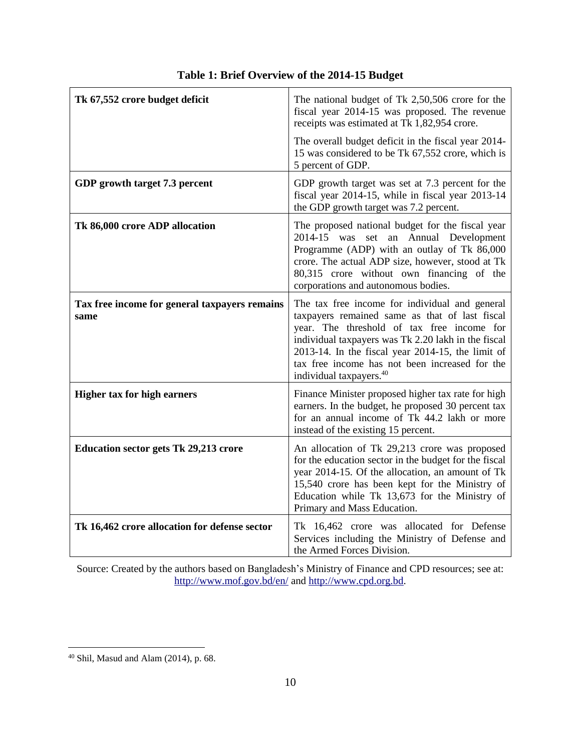| Tk 67,552 crore budget deficit                        | The national budget of Tk 2,50,506 crore for the<br>fiscal year 2014-15 was proposed. The revenue<br>receipts was estimated at Tk 1,82,954 crore.<br>The overall budget deficit in the fiscal year 2014-<br>15 was considered to be Tk 67,552 crore, which is<br>5 percent of GDP.                                                                        |
|-------------------------------------------------------|-----------------------------------------------------------------------------------------------------------------------------------------------------------------------------------------------------------------------------------------------------------------------------------------------------------------------------------------------------------|
| GDP growth target 7.3 percent                         | GDP growth target was set at 7.3 percent for the<br>fiscal year 2014-15, while in fiscal year 2013-14<br>the GDP growth target was 7.2 percent.                                                                                                                                                                                                           |
| Tk 86,000 crore ADP allocation                        | The proposed national budget for the fiscal year<br>2014-15 was set an Annual Development<br>Programme (ADP) with an outlay of Tk 86,000<br>crore. The actual ADP size, however, stood at Tk<br>80,315 crore without own financing of the<br>corporations and autonomous bodies.                                                                          |
| Tax free income for general taxpayers remains<br>same | The tax free income for individual and general<br>taxpayers remained same as that of last fiscal<br>year. The threshold of tax free income for<br>individual taxpayers was Tk 2.20 lakh in the fiscal<br>$2013-14$ . In the fiscal year $2014-15$ , the limit of<br>tax free income has not been increased for the<br>individual taxpayers. <sup>40</sup> |
| <b>Higher tax for high earners</b>                    | Finance Minister proposed higher tax rate for high<br>earners. In the budget, he proposed 30 percent tax<br>for an annual income of Tk 44.2 lakh or more<br>instead of the existing 15 percent.                                                                                                                                                           |
| <b>Education sector gets Tk 29,213 crore</b>          | An allocation of Tk 29,213 crore was proposed<br>for the education sector in the budget for the fiscal<br>year 2014-15. Of the allocation, an amount of Tk<br>15,540 crore has been kept for the Ministry of<br>Education while Tk 13,673 for the Ministry of<br>Primary and Mass Education.                                                              |
| Tk 16,462 crore allocation for defense sector         | Tk 16,462 crore was allocated for Defense<br>Services including the Ministry of Defense and<br>the Armed Forces Division.                                                                                                                                                                                                                                 |

### **Table 1: Brief Overview of the 2014-15 Budget**

Source: Created by the authors based on Bangladesh's Ministry of Finance and CPD resources; see at: <http://www.mof.gov.bd/en/> and [http://www.cpd.org.bd.](http://www.cpd.org.bd/)

 $40$  Shil, Masud and Alam (2014), p. 68.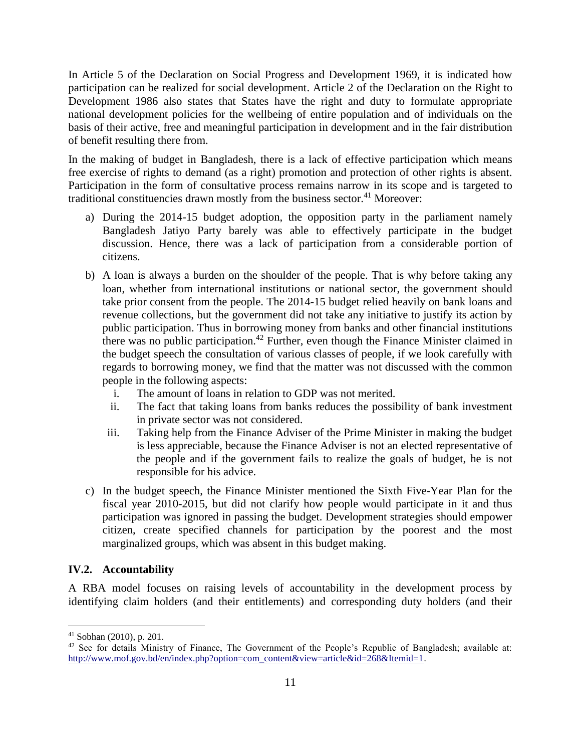In Article 5 of the Declaration on Social Progress and Development 1969, it is indicated how participation can be realized for social development. Article 2 of the Declaration on the Right to Development 1986 also states that States have the right and duty to formulate appropriate national development policies for the wellbeing of entire population and of individuals on the basis of their active, free and meaningful participation in development and in the fair distribution of benefit resulting there from.

In the making of budget in Bangladesh, there is a lack of effective participation which means free exercise of rights to demand (as a right) promotion and protection of other rights is absent. Participation in the form of consultative process remains narrow in its scope and is targeted to traditional constituencies drawn mostly from the business sector. $41$  Moreover:

- a) During the 2014-15 budget adoption, the opposition party in the parliament namely Bangladesh Jatiyo Party barely was able to effectively participate in the budget discussion. Hence, there was a lack of participation from a considerable portion of citizens.
- b) A loan is always a burden on the shoulder of the people. That is why before taking any loan, whether from international institutions or national sector, the government should take prior consent from the people. The 2014-15 budget relied heavily on bank loans and revenue collections, but the government did not take any initiative to justify its action by public participation. Thus in borrowing money from banks and other financial institutions there was no public participation.<sup>42</sup> Further, even though the Finance Minister claimed in the budget speech the consultation of various classes of people, if we look carefully with regards to borrowing money, we find that the matter was not discussed with the common people in the following aspects:
	- i. The amount of loans in relation to GDP was not merited.
	- ii. The fact that taking loans from banks reduces the possibility of bank investment in private sector was not considered.
	- iii. Taking help from the Finance Adviser of the Prime Minister in making the budget is less appreciable, because the Finance Adviser is not an elected representative of the people and if the government fails to realize the goals of budget, he is not responsible for his advice.
- c) In the budget speech, the Finance Minister mentioned the Sixth Five-Year Plan for the fiscal year 2010-2015, but did not clarify how people would participate in it and thus participation was ignored in passing the budget. Development strategies should empower citizen, create specified channels for participation by the poorest and the most marginalized groups, which was absent in this budget making.

### **IV.2. Accountability**

A RBA model focuses on raising levels of accountability in the development process by identifying claim holders (and their entitlements) and corresponding duty holders (and their

<sup>41</sup> Sobhan (2010), p. 201.

<sup>&</sup>lt;sup>42</sup> See for details Ministry of Finance, The Government of the People's Republic of Bangladesh; available at: [http://www.mof.gov.bd/en/index.php?option=com\\_content&view=article&id=268&Itemid=1.](http://www.mof.gov.bd/en/index.php?option=com_content&view=article&id=268&Itemid=1)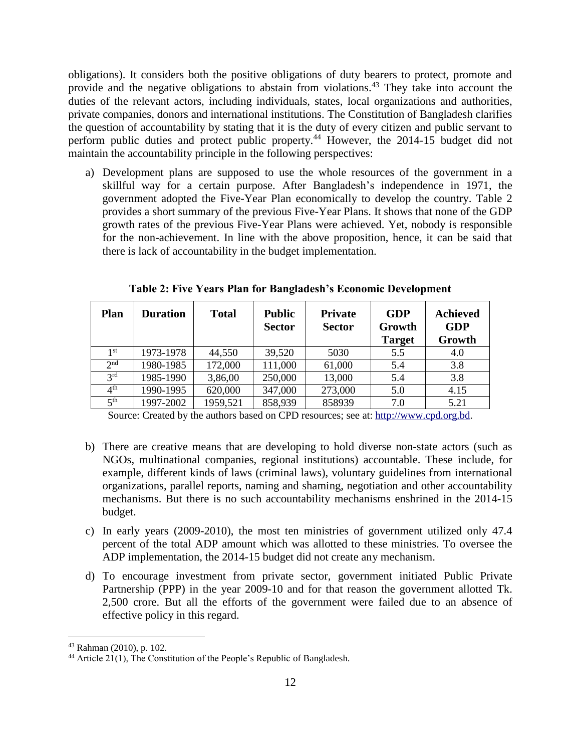obligations). It considers both the positive obligations of duty bearers to protect, promote and provide and the negative obligations to abstain from violations.<sup>43</sup> They take into account the duties of the relevant actors, including individuals, states, local organizations and authorities, private companies, donors and international institutions. The Constitution of Bangladesh clarifies the question of accountability by stating that it is the duty of every citizen and public servant to perform public duties and protect public property.<sup>44</sup> However, the 2014-15 budget did not maintain the accountability principle in the following perspectives:

a) Development plans are supposed to use the whole resources of the government in a skillful way for a certain purpose. After Bangladesh's independence in 1971, the government adopted the Five-Year Plan economically to develop the country. Table 2 provides a short summary of the previous Five-Year Plans. It shows that none of the GDP growth rates of the previous Five-Year Plans were achieved. Yet, nobody is responsible for the non-achievement. In line with the above proposition, hence, it can be said that there is lack of accountability in the budget implementation.

| <b>Plan</b>     | <b>Duration</b> | <b>Total</b> | <b>Public</b><br><b>Sector</b> | <b>Private</b><br><b>Sector</b> | <b>GDP</b><br>Growth<br><b>Target</b> | <b>Achieved</b><br><b>GDP</b><br>Growth |
|-----------------|-----------------|--------------|--------------------------------|---------------------------------|---------------------------------------|-----------------------------------------|
| 1 <sup>st</sup> | 1973-1978       | 44,550       | 39,520                         | 5030                            | 5.5                                   | 4.0                                     |
| 2 <sup>nd</sup> | 1980-1985       | 172,000      | 111,000                        | 61,000                          | 5.4                                   | 3.8                                     |
| 2rd             | 1985-1990       | 3,86,00      | 250,000                        | 13,000                          | 5.4                                   | 3.8                                     |
| $4^{\rm th}$    | 1990-1995       | 620,000      | 347,000                        | 273,000                         | 5.0                                   | 4.15                                    |
| $\leq$ th       | 1997-2002       | 1959,521     | 858,939                        | 858939                          | 7.0                                   | 5.21                                    |

**Table 2: Five Years Plan for Bangladesh's Economic Development**

Source: Created by the authors based on CPD resources; see at: [http://www.cpd.org.bd.](http://www.cpd.org.bd/)

- b) There are creative means that are developing to hold diverse non-state actors (such as NGOs, multinational companies, regional institutions) accountable. These include, for example, different kinds of laws (criminal laws), voluntary guidelines from international organizations, parallel reports, naming and shaming, negotiation and other accountability mechanisms. But there is no such accountability mechanisms enshrined in the 2014-15 budget.
- c) In early years (2009-2010), the most ten ministries of government utilized only 47.4 percent of the total ADP amount which was allotted to these ministries. To oversee the ADP implementation, the 2014-15 budget did not create any mechanism.
- d) To encourage investment from private sector, government initiated Public Private Partnership (PPP) in the year 2009-10 and for that reason the government allotted Tk. 2,500 crore. But all the efforts of the government were failed due to an absence of effective policy in this regard.

<sup>43</sup> Rahman (2010), p. 102.

<sup>&</sup>lt;sup>44</sup> Article 21(1), The Constitution of the People's Republic of Bangladesh.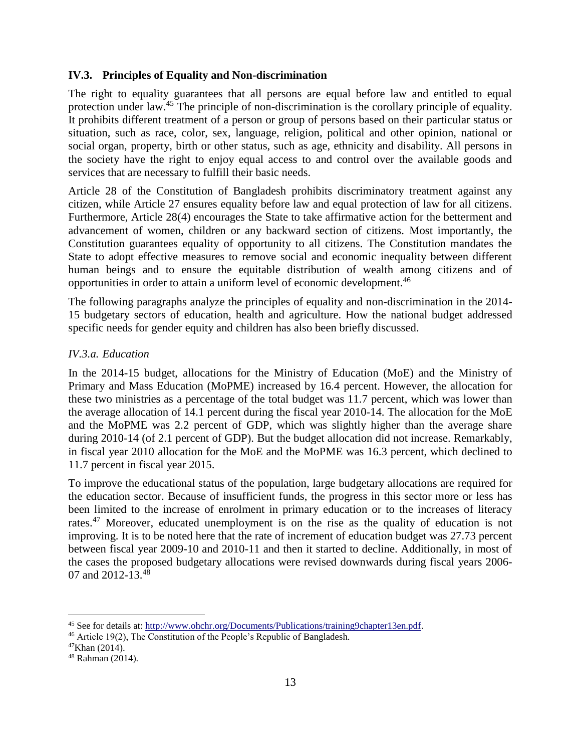### **IV.3. Principles of Equality and Non-discrimination**

The right to equality guarantees that all persons are equal before law and entitled to equal protection under law.<sup>45</sup> The principle of non-discrimination is the corollary principle of equality. It prohibits different treatment of a person or group of persons based on their particular status or situation, such as race, color, sex, language, religion, political and other opinion, national or social organ, property, birth or other status, such as age, ethnicity and disability. All persons in the society have the right to enjoy equal access to and control over the available goods and services that are necessary to fulfill their basic needs.

Article 28 of the Constitution of Bangladesh prohibits discriminatory treatment against any citizen, while Article 27 ensures equality before law and equal protection of law for all citizens. Furthermore, Article 28(4) encourages the State to take affirmative action for the betterment and advancement of women, children or any backward section of citizens. Most importantly, the Constitution guarantees equality of opportunity to all citizens. The Constitution mandates the State to adopt effective measures to remove social and economic inequality between different human beings and to ensure the equitable distribution of wealth among citizens and of opportunities in order to attain a uniform level of economic development.<sup>46</sup>

The following paragraphs analyze the principles of equality and non-discrimination in the 2014- 15 budgetary sectors of education, health and agriculture. How the national budget addressed specific needs for gender equity and children has also been briefly discussed.

#### *IV.3.a. Education*

In the 2014-15 budget, allocations for the Ministry of Education (MoE) and the Ministry of Primary and Mass Education (MoPME) increased by 16.4 percent. However, the allocation for these two ministries as a percentage of the total budget was 11.7 percent, which was lower than the average allocation of 14.1 percent during the fiscal year 2010-14. The allocation for the MoE and the MoPME was 2.2 percent of GDP, which was slightly higher than the average share during 2010-14 (of 2.1 percent of GDP). But the budget allocation did not increase. Remarkably, in fiscal year 2010 allocation for the MoE and the MoPME was 16.3 percent, which declined to 11.7 percent in fiscal year 2015.

To improve the educational status of the population, large budgetary allocations are required for the education sector. Because of insufficient funds, the progress in this sector more or less has been limited to the increase of enrolment in primary education or to the increases of literacy rates.<sup>47</sup> Moreover, educated unemployment is on the rise as the quality of education is not improving. It is to be noted here that the rate of increment of education budget was 27.73 percent between fiscal year 2009-10 and 2010-11 and then it started to decline. Additionally, in most of the cases the proposed budgetary allocations were revised downwards during fiscal years 2006- 07 and 2012-13.<sup>48</sup>

<sup>45</sup> See for details at: [http://www.ohchr.org/Documents/Publications/training9chapter13en.pdf.](http://www.ohchr.org/Documents/Publications/training9chapter13en.pdf)

<sup>46</sup> Article 19(2), The Constitution of the People's Republic of Bangladesh.

<sup>47</sup>Khan (2014).

<sup>48</sup> Rahman (2014).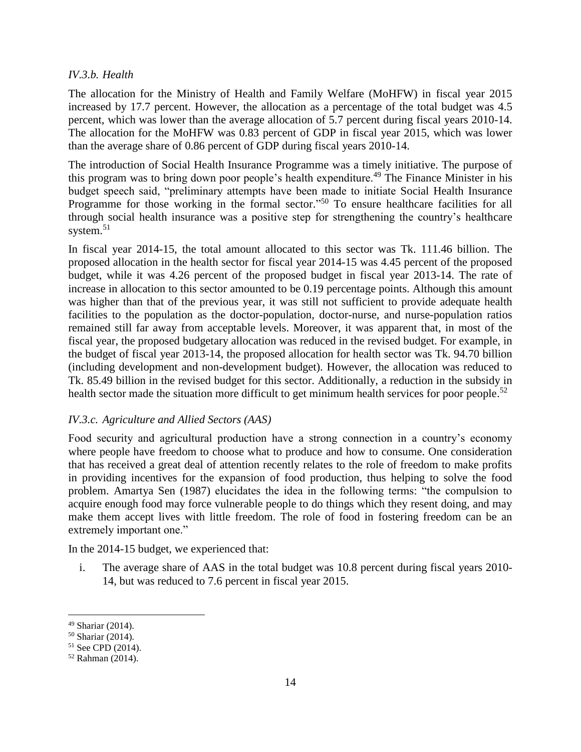#### *IV.3.b. Health*

The allocation for the Ministry of Health and Family Welfare (MoHFW) in fiscal year 2015 increased by 17.7 percent. However, the allocation as a percentage of the total budget was 4.5 percent, which was lower than the average allocation of 5.7 percent during fiscal years 2010-14. The allocation for the MoHFW was 0.83 percent of GDP in fiscal year 2015, which was lower than the average share of 0.86 percent of GDP during fiscal years 2010-14.

The introduction of Social Health Insurance Programme was a timely initiative. The purpose of this program was to bring down poor people's health expenditure.<sup>49</sup> The Finance Minister in his budget speech said, "preliminary attempts have been made to initiate Social Health Insurance Programme for those working in the formal sector."<sup>50</sup> To ensure healthcare facilities for all through social health insurance was a positive step for strengthening the country's healthcare system. 51

In fiscal year 2014-15, the total amount allocated to this sector was Tk. 111.46 billion. The proposed allocation in the health sector for fiscal year 2014-15 was 4.45 percent of the proposed budget, while it was 4.26 percent of the proposed budget in fiscal year 2013-14. The rate of increase in allocation to this sector amounted to be 0.19 percentage points. Although this amount was higher than that of the previous year, it was still not sufficient to provide adequate health facilities to the population as the doctor-population, doctor-nurse, and nurse-population ratios remained still far away from acceptable levels. Moreover, it was apparent that, in most of the fiscal year, the proposed budgetary allocation was reduced in the revised budget. For example, in the budget of fiscal year 2013-14, the proposed allocation for health sector was Tk. 94.70 billion (including development and non-development budget). However, the allocation was reduced to Tk. 85.49 billion in the revised budget for this sector. Additionally, a reduction in the subsidy in health sector made the situation more difficult to get minimum health services for poor people.<sup>52</sup>

#### *IV.3.c. Agriculture and Allied Sectors (AAS)*

Food security and agricultural production have a strong connection in a country's economy where people have freedom to choose what to produce and how to consume. One consideration that has received a great deal of attention recently relates to the role of freedom to make profits in providing incentives for the expansion of food production, thus helping to solve the food problem. Amartya Sen (1987) elucidates the idea in the following terms: "the compulsion to acquire enough food may force vulnerable people to do things which they resent doing, and may make them accept lives with little freedom. The role of food in fostering freedom can be an extremely important one."

In the 2014-15 budget, we experienced that:

i. The average share of AAS in the total budget was 10.8 percent during fiscal years 2010- 14, but was reduced to 7.6 percent in fiscal year 2015.

<sup>49</sup> Shariar (2014).

<sup>50</sup> Shariar (2014).

<sup>51</sup> See CPD (2014).

<sup>52</sup> Rahman (2014).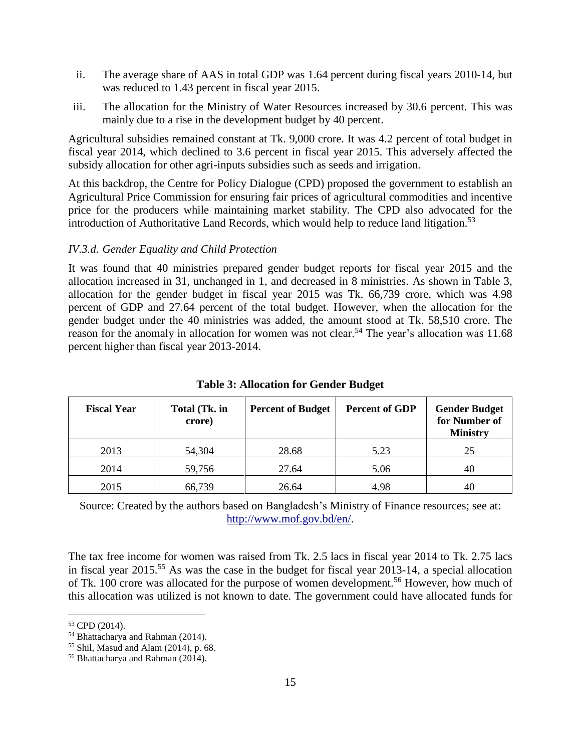- ii. The average share of AAS in total GDP was 1.64 percent during fiscal years 2010-14, but was reduced to 1.43 percent in fiscal year 2015.
- iii. The allocation for the Ministry of Water Resources increased by 30.6 percent. This was mainly due to a rise in the development budget by 40 percent.

Agricultural subsidies remained constant at Tk. 9,000 crore. It was 4.2 percent of total budget in fiscal year 2014, which declined to 3.6 percent in fiscal year 2015. This adversely affected the subsidy allocation for other agri-inputs subsidies such as seeds and irrigation.

At this backdrop, the Centre for Policy Dialogue (CPD) proposed the government to establish an Agricultural Price Commission for ensuring fair prices of agricultural commodities and incentive price for the producers while maintaining market stability. The CPD also advocated for the introduction of Authoritative Land Records, which would help to reduce land litigation.<sup>53</sup>

#### *IV.3.d. Gender Equality and Child Protection*

It was found that 40 ministries prepared gender budget reports for fiscal year 2015 and the allocation increased in 31, unchanged in 1, and decreased in 8 ministries. As shown in Table 3, allocation for the gender budget in fiscal year 2015 was Tk. 66,739 crore, which was 4.98 percent of GDP and 27.64 percent of the total budget. However, when the allocation for the gender budget under the 40 ministries was added, the amount stood at Tk. 58,510 crore. The reason for the anomaly in allocation for women was not clear.<sup>54</sup> The year's allocation was  $11.68$ percent higher than fiscal year 2013-2014.

| <b>Fiscal Year</b> | Total (Tk. in<br>crore) | <b>Percent of Budget</b> | <b>Percent of GDP</b> | <b>Gender Budget</b><br>for Number of<br><b>Ministry</b> |
|--------------------|-------------------------|--------------------------|-----------------------|----------------------------------------------------------|
| 2013               | 54,304                  | 28.68                    | 5.23                  | 25                                                       |
| 2014               | 59,756                  | 27.64                    | 5.06                  | 40                                                       |
| 2015               | 66,739                  | 26.64                    | 4.98                  | 40                                                       |

**Table 3: Allocation for Gender Budget**

Source: Created by the authors based on Bangladesh's Ministry of Finance resources; see at: [http://www.mof.gov.bd/en/.](http://www.mof.gov.bd/en/)

The tax free income for women was raised from Tk. 2.5 lacs in fiscal year 2014 to Tk. 2.75 lacs in fiscal year 2015.<sup>55</sup> As was the case in the budget for fiscal year 2013-14, a special allocation of Tk. 100 crore was allocated for the purpose of women development.<sup>56</sup> However, how much of this allocation was utilized is not known to date. The government could have allocated funds for

<sup>53</sup> CPD (2014).

<sup>54</sup> Bhattacharya and Rahman (2014).

<sup>55</sup> Shil, Masud and Alam (2014), p. 68.

<sup>56</sup> Bhattacharya and Rahman (2014).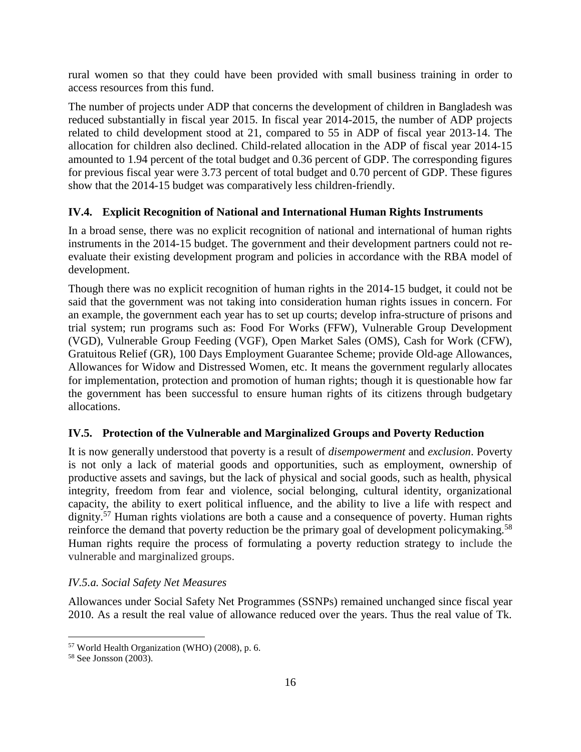rural women so that they could have been provided with small business training in order to access resources from this fund.

The number of projects under ADP that concerns the development of children in Bangladesh was reduced substantially in fiscal year 2015. In fiscal year 2014-2015, the number of ADP projects related to child development stood at 21, compared to 55 in ADP of fiscal year 2013-14. The allocation for children also declined. Child-related allocation in the ADP of fiscal year 2014-15 amounted to 1.94 percent of the total budget and 0.36 percent of GDP. The corresponding figures for previous fiscal year were 3.73 percent of total budget and 0.70 percent of GDP. These figures show that the 2014-15 budget was comparatively less children-friendly.

### **IV.4. Explicit Recognition of National and International Human Rights Instruments**

In a broad sense, there was no explicit recognition of national and international of human rights instruments in the 2014-15 budget. The government and their development partners could not reevaluate their existing development program and policies in accordance with the RBA model of development.

Though there was no explicit recognition of human rights in the 2014-15 budget, it could not be said that the government was not taking into consideration human rights issues in concern. For an example, the government each year has to set up courts; develop infra-structure of prisons and trial system; run programs such as: Food For Works (FFW), Vulnerable Group Development (VGD), Vulnerable Group Feeding (VGF), Open Market Sales (OMS), Cash for Work (CFW), Gratuitous Relief (GR), 100 Days Employment Guarantee Scheme; provide Old-age Allowances, Allowances for Widow and Distressed Women, etc. It means the government regularly allocates for implementation, protection and promotion of human rights; though it is questionable how far the government has been successful to ensure human rights of its citizens through budgetary allocations.

### **IV.5. Protection of the Vulnerable and Marginalized Groups and Poverty Reduction**

It is now generally understood that poverty is a result of *disempowerment* and *exclusion*. Poverty is not only a lack of material goods and opportunities, such as employment, ownership of productive assets and savings, but the lack of physical and social goods, such as health, physical integrity, freedom from fear and violence, social belonging, cultural identity, organizational capacity, the ability to exert political influence, and the ability to live a life with respect and dignity.<sup>57</sup> Human rights violations are both a cause and a consequence of poverty. Human rights reinforce the demand that poverty reduction be the primary goal of development policymaking.<sup>58</sup> Human rights require the process of formulating a poverty reduction strategy to include the vulnerable and marginalized groups.

### *IV.5.a. Social Safety Net Measures*

Allowances under Social Safety Net Programmes (SSNPs) remained unchanged since fiscal year 2010. As a result the real value of allowance reduced over the years. Thus the real value of Tk.

<sup>57</sup> World Health Organization (WHO) (2008), p. 6.

<sup>58</sup> See Jonsson (2003).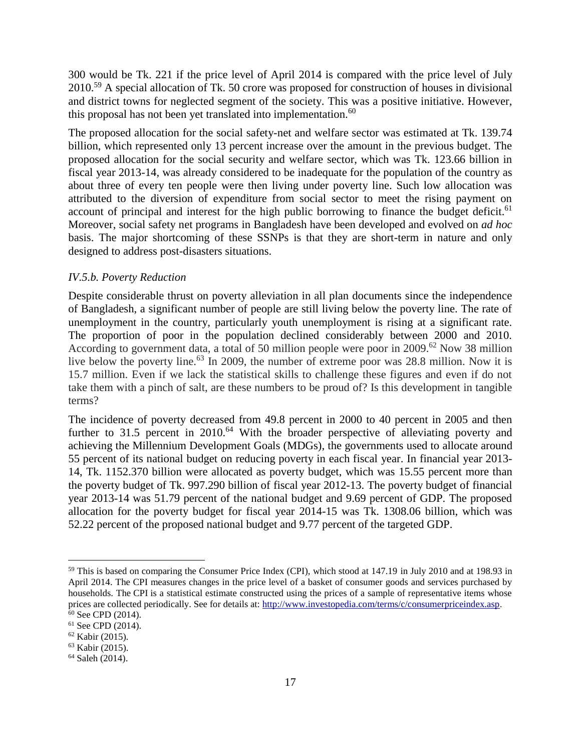300 would be Tk. 221 if the price level of April 2014 is compared with the price level of July 2010.<sup>59</sup> A special allocation of Tk. 50 crore was proposed for construction of houses in divisional and district towns for neglected segment of the society. This was a positive initiative. However, this proposal has not been yet translated into implementation. $60$ 

The proposed allocation for the social safety-net and welfare sector was estimated at Tk. 139.74 billion, which represented only 13 percent increase over the amount in the previous budget. The proposed allocation for the social security and welfare sector, which was Tk. 123.66 billion in fiscal year 2013-14, was already considered to be inadequate for the population of the country as about three of every ten people were then living under poverty line. Such low allocation was attributed to the diversion of expenditure from social sector to meet the rising payment on account of principal and interest for the high public borrowing to finance the budget deficit.<sup>61</sup> Moreover, social safety net programs in Bangladesh have been developed and evolved on *ad hoc* basis. The major shortcoming of these SSNPs is that they are short-term in nature and only designed to address post-disasters situations.

### *IV.5.b. Poverty Reduction*

Despite considerable thrust on poverty alleviation in all plan documents since the independence of Bangladesh, a significant number of people are still living below the poverty line. The rate of unemployment in the country, particularly youth unemployment is rising at a significant rate. The proportion of poor in the population declined considerably between 2000 and 2010. According to government data, a total of 50 million people were poor in 2009.<sup>62</sup> Now 38 million live below the poverty line.<sup>63</sup> In 2009, the number of extreme poor was 28.8 million. Now it is 15.7 million. Even if we lack the statistical skills to challenge these figures and even if do not take them with a pinch of salt, are these numbers to be proud of? Is this development in tangible terms?

The incidence of poverty decreased from 49.8 percent in 2000 to 40 percent in 2005 and then further to 31.5 percent in 2010.<sup>64</sup> With the broader perspective of alleviating poverty and achieving the Millennium Development Goals (MDGs), the governments used to allocate around 55 percent of its national budget on reducing poverty in each fiscal year. In financial year 2013- 14, Tk. 1152.370 billion were allocated as poverty budget, which was 15.55 percent more than the poverty budget of Tk. 997.290 billion of fiscal year 2012-13. The poverty budget of financial year 2013-14 was 51.79 percent of the national budget and 9.69 percent of GDP. The proposed allocation for the poverty budget for fiscal year 2014-15 was Tk. 1308.06 billion, which was 52.22 percent of the proposed national budget and 9.77 percent of the targeted GDP.

<sup>&</sup>lt;sup>59</sup> This is based on comparing the Consumer Price Index (CPI), which stood at 147.19 in July 2010 and at 198.93 in April 2014. The CPI measures changes in the price level of a basket of consumer goods and services purchased by households. The CPI is a statistical estimate constructed using the prices of a sample of representative items whose prices are collected periodically. See for details at[: http://www.investopedia.com/terms/c/consumerpriceindex.asp.](http://www.investopedia.com/terms/c/consumerpriceindex.asp)

 $60$  See CPD (2014).

 $61$  See CPD (2014).

<sup>62</sup> Kabir (2015).

<sup>63</sup> Kabir (2015).

<sup>64</sup> Saleh (2014).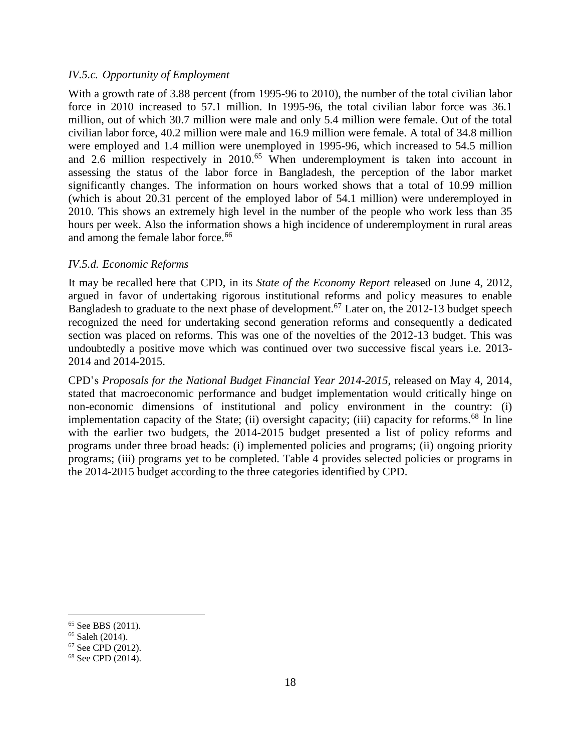#### *IV.5.c. Opportunity of Employment*

With a growth rate of 3.88 percent (from 1995-96 to 2010), the number of the total civilian labor force in 2010 increased to 57.1 million. In 1995-96, the total civilian labor force was 36.1 million, out of which 30.7 million were male and only 5.4 million were female. Out of the total civilian labor force, 40.2 million were male and 16.9 million were female. A total of 34.8 million were employed and 1.4 million were unemployed in 1995-96, which increased to 54.5 million and 2.6 million respectively in 2010.<sup>65</sup> When underemployment is taken into account in assessing the status of the labor force in Bangladesh, the perception of the labor market significantly changes. The information on hours worked shows that a total of 10.99 million (which is about 20.31 percent of the employed labor of 54.1 million) were underemployed in 2010. This shows an extremely high level in the number of the people who work less than 35 hours per week. Also the information shows a high incidence of underemployment in rural areas and among the female labor force.<sup>66</sup>

#### *IV.5.d. Economic Reforms*

It may be recalled here that CPD, in its *State of the Economy Report* released on June 4, 2012, argued in favor of undertaking rigorous institutional reforms and policy measures to enable Bangladesh to graduate to the next phase of development.<sup>67</sup> Later on, the 2012-13 budget speech recognized the need for undertaking second generation reforms and consequently a dedicated section was placed on reforms. This was one of the novelties of the 2012-13 budget. This was undoubtedly a positive move which was continued over two successive fiscal years i.e. 2013- 2014 and 2014-2015.

CPD's *Proposals for the National Budget Financial Year 2014-2015*, released on May 4, 2014, stated that macroeconomic performance and budget implementation would critically hinge on non-economic dimensions of institutional and policy environment in the country: (i) implementation capacity of the State; (ii) oversight capacity; (iii) capacity for reforms.<sup>68</sup> In line with the earlier two budgets, the 2014-2015 budget presented a list of policy reforms and programs under three broad heads: (i) implemented policies and programs; (ii) ongoing priority programs; (iii) programs yet to be completed. Table 4 provides selected policies or programs in the 2014-2015 budget according to the three categories identified by CPD.

<sup>&</sup>lt;sup>65</sup> See BBS (2011).

<sup>66</sup> Saleh (2014).

<sup>67</sup> See CPD (2012).

<sup>68</sup> See CPD (2014).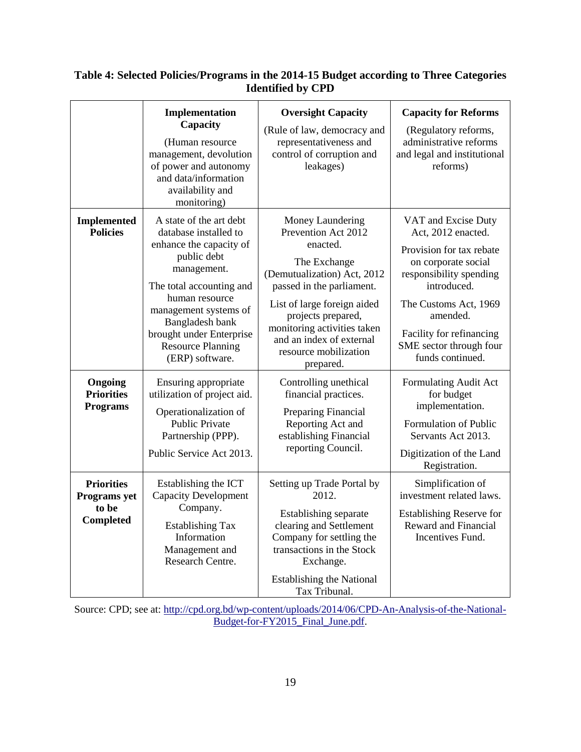|                                                         | Implementation<br>Capacity<br>(Human resource<br>management, devolution<br>of power and autonomy<br>and data/information<br>availability and<br>monitoring)                                                                                                                    | <b>Oversight Capacity</b><br>(Rule of law, democracy and<br>representativeness and<br>control of corruption and<br>leakages)                                                                                                                                                          | <b>Capacity for Reforms</b><br>(Regulatory reforms,<br>administrative reforms<br>and legal and institutional<br>reforms)                                                                                                                               |
|---------------------------------------------------------|--------------------------------------------------------------------------------------------------------------------------------------------------------------------------------------------------------------------------------------------------------------------------------|---------------------------------------------------------------------------------------------------------------------------------------------------------------------------------------------------------------------------------------------------------------------------------------|--------------------------------------------------------------------------------------------------------------------------------------------------------------------------------------------------------------------------------------------------------|
| <b>Implemented</b><br><b>Policies</b>                   | A state of the art debt<br>database installed to<br>enhance the capacity of<br>public debt<br>management.<br>The total accounting and<br>human resource<br>management systems of<br>Bangladesh bank<br>brought under Enterprise<br><b>Resource Planning</b><br>(ERP) software. | Money Laundering<br>Prevention Act 2012<br>enacted.<br>The Exchange<br>(Demutualization) Act, 2012<br>passed in the parliament.<br>List of large foreign aided<br>projects prepared,<br>monitoring activities taken<br>and an index of external<br>resource mobilization<br>prepared. | VAT and Excise Duty<br>Act, 2012 enacted.<br>Provision for tax rebate<br>on corporate social<br>responsibility spending<br>introduced.<br>The Customs Act, 1969<br>amended.<br>Facility for refinancing<br>SME sector through four<br>funds continued. |
| Ongoing<br><b>Priorities</b><br><b>Programs</b>         | Ensuring appropriate<br>utilization of project aid.<br>Operationalization of<br><b>Public Private</b><br>Partnership (PPP).<br>Public Service Act 2013.                                                                                                                        | Controlling unethical<br>financial practices.<br>Preparing Financial<br>Reporting Act and<br>establishing Financial<br>reporting Council.                                                                                                                                             | Formulating Audit Act<br>for budget<br>implementation.<br>Formulation of Public<br>Servants Act 2013.<br>Digitization of the Land<br>Registration.                                                                                                     |
| <b>Priorities</b><br>Programs yet<br>to be<br>Completed | Establishing the ICT<br><b>Capacity Development</b><br>Company.<br><b>Establishing Tax</b><br>Information<br>Management and<br>Research Centre.                                                                                                                                | Setting up Trade Portal by<br>2012.<br>Establishing separate<br>clearing and Settlement<br>Company for settling the<br>transactions in the Stock<br>Exchange.<br><b>Establishing the National</b><br>Tax Tribunal.                                                                    | Simplification of<br>investment related laws.<br><b>Establishing Reserve for</b><br>Reward and Financial<br>Incentives Fund.                                                                                                                           |

### **Table 4: Selected Policies/Programs in the 2014-15 Budget according to Three Categories Identified by CPD**

Source: CPD; see at: [http://cpd.org.bd/wp-content/uploads/2014/06/CPD-An-Analysis-of-the-National-](http://cpd.org.bd/wp-content/uploads/2014/06/CPD-An-Analysis-of-the-National-Budget-for-FY2015_Final_June.pdf)[Budget-for-FY2015\\_Final\\_June.pdf.](http://cpd.org.bd/wp-content/uploads/2014/06/CPD-An-Analysis-of-the-National-Budget-for-FY2015_Final_June.pdf)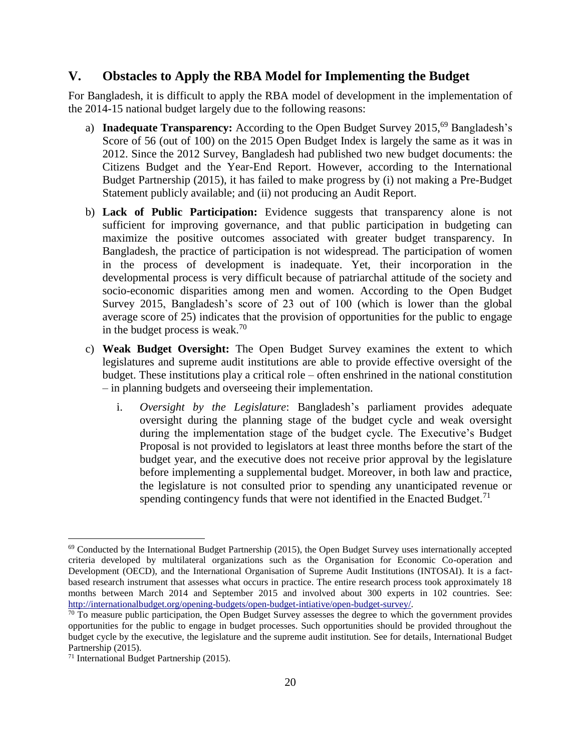### **V. Obstacles to Apply the RBA Model for Implementing the Budget**

For Bangladesh, it is difficult to apply the RBA model of development in the implementation of the 2014-15 national budget largely due to the following reasons:

- a) **Inadequate Transparency:** According to the Open Budget Survey 2015, <sup>69</sup> Bangladesh's Score of 56 (out of 100) on the 2015 Open Budget Index is largely the same as it was in 2012. Since the 2012 Survey, Bangladesh had published two new budget documents: the Citizens Budget and the Year-End Report. However, according to the International Budget Partnership (2015), it has failed to make progress by (i) not making a Pre-Budget Statement publicly available; and (ii) not producing an Audit Report.
- b) **Lack of Public Participation:** Evidence suggests that transparency alone is not sufficient for improving governance, and that public participation in budgeting can maximize the positive outcomes associated with greater budget transparency. In Bangladesh, the practice of participation is not widespread. The participation of women in the process of development is inadequate. Yet, their incorporation in the developmental process is very difficult because of patriarchal attitude of the society and socio-economic disparities among men and women. According to the Open Budget Survey 2015, Bangladesh's score of 23 out of 100 (which is lower than the global average score of 25) indicates that the provision of opportunities for the public to engage in the budget process is weak.<sup>70</sup>
- c) **Weak Budget Oversight:** The Open Budget Survey examines the extent to which legislatures and supreme audit institutions are able to provide effective oversight of the budget. These institutions play a critical role – often enshrined in the national constitution – in planning budgets and overseeing their implementation.
	- i. *Oversight by the Legislature*: Bangladesh's parliament provides adequate oversight during the planning stage of the budget cycle and weak oversight during the implementation stage of the budget cycle. The Executive's Budget Proposal is not provided to legislators at least three months before the start of the budget year, and the executive does not receive prior approval by the legislature before implementing a supplemental budget. Moreover, in both law and practice, the legislature is not consulted prior to spending any unanticipated revenue or spending contingency funds that were not identified in the Enacted Budget.<sup>71</sup>

 $69$  Conducted by the International Budget Partnership (2015), the Open Budget Survey uses internationally accepted criteria developed by multilateral organizations such as the Organisation for Economic Co-operation and Development (OECD), and the International Organisation of Supreme Audit Institutions (INTOSAI). It is a factbased research instrument that assesses what occurs in practice. The entire research process took approximately 18 months between March 2014 and September 2015 and involved about 300 experts in 102 countries. See: [http://internationalbudget.org/opening-budgets/open-budget-intiative/open-budget-survey/.](http://internationalbudget.org/opening-budgets/open-budget-intiative/open-budget-survey/)

 $70$  To measure public participation, the Open Budget Survey assesses the degree to which the government provides opportunities for the public to engage in budget processes. Such opportunities should be provided throughout the budget cycle by the executive, the legislature and the supreme audit institution. See for details, International Budget Partnership (2015).

<sup>71</sup> International Budget Partnership (2015).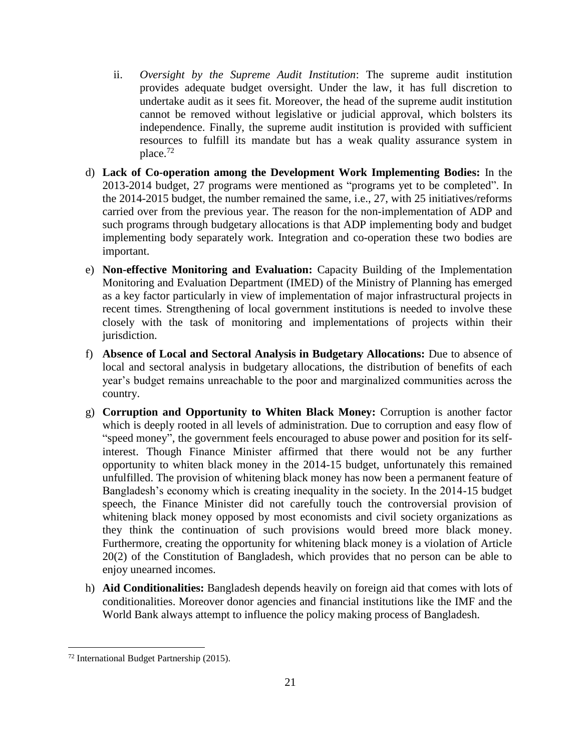- ii. *Oversight by the Supreme Audit Institution*: The supreme audit institution provides adequate budget oversight. Under the law, it has full discretion to undertake audit as it sees fit. Moreover, the head of the supreme audit institution cannot be removed without legislative or judicial approval, which bolsters its independence. Finally, the supreme audit institution is provided with sufficient resources to fulfill its mandate but has a weak quality assurance system in place. $72$
- d) **Lack of Co-operation among the Development Work Implementing Bodies:** In the 2013-2014 budget, 27 programs were mentioned as "programs yet to be completed". In the 2014-2015 budget, the number remained the same, i.e., 27, with 25 initiatives/reforms carried over from the previous year. The reason for the non-implementation of ADP and such programs through budgetary allocations is that ADP implementing body and budget implementing body separately work. Integration and co-operation these two bodies are important.
- e) **Non-effective Monitoring and Evaluation:** Capacity Building of the Implementation Monitoring and Evaluation Department (IMED) of the Ministry of Planning has emerged as a key factor particularly in view of implementation of major infrastructural projects in recent times. Strengthening of local government institutions is needed to involve these closely with the task of monitoring and implementations of projects within their jurisdiction.
- f) **Absence of Local and Sectoral Analysis in Budgetary Allocations:** Due to absence of local and sectoral analysis in budgetary allocations, the distribution of benefits of each year's budget remains unreachable to the poor and marginalized communities across the country.
- g) **Corruption and Opportunity to Whiten Black Money:** Corruption is another factor which is deeply rooted in all levels of administration. Due to corruption and easy flow of "speed money", the government feels encouraged to abuse power and position for its selfinterest. Though Finance Minister affirmed that there would not be any further opportunity to whiten black money in the 2014-15 budget, unfortunately this remained unfulfilled. The provision of whitening black money has now been a permanent feature of Bangladesh's economy which is creating inequality in the society. In the 2014-15 budget speech, the Finance Minister did not carefully touch the controversial provision of whitening black money opposed by most economists and civil society organizations as they think the continuation of such provisions would breed more black money. Furthermore, creating the opportunity for whitening black money is a violation of Article 20(2) of the Constitution of Bangladesh, which provides that no person can be able to enjoy unearned incomes.
- h) **Aid Conditionalities:** Bangladesh depends heavily on foreign aid that comes with lots of conditionalities. Moreover donor agencies and financial institutions like the IMF and the World Bank always attempt to influence the policy making process of Bangladesh.

<sup>72</sup> International Budget Partnership (2015).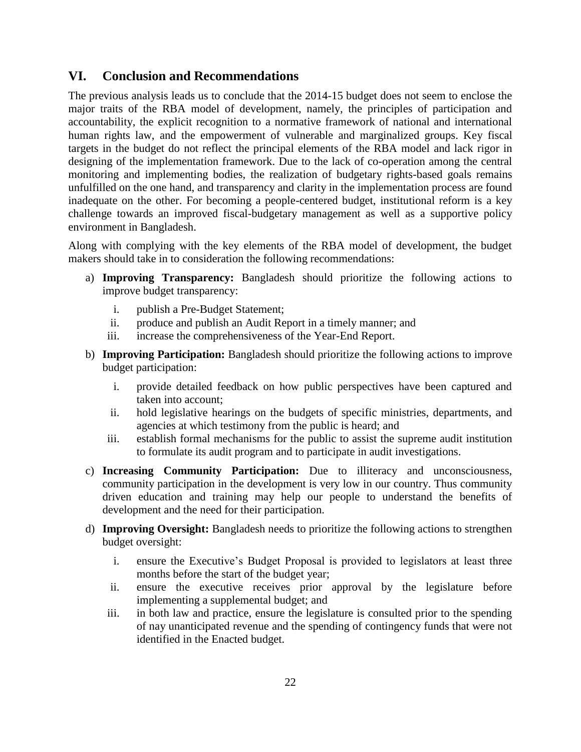### **VI. Conclusion and Recommendations**

The previous analysis leads us to conclude that the 2014-15 budget does not seem to enclose the major traits of the RBA model of development, namely, the principles of participation and accountability, the explicit recognition to a normative framework of national and international human rights law, and the empowerment of vulnerable and marginalized groups. Key fiscal targets in the budget do not reflect the principal elements of the RBA model and lack rigor in designing of the implementation framework. Due to the lack of co-operation among the central monitoring and implementing bodies, the realization of budgetary rights-based goals remains unfulfilled on the one hand, and transparency and clarity in the implementation process are found inadequate on the other. For becoming a people-centered budget, institutional reform is a key challenge towards an improved fiscal-budgetary management as well as a supportive policy environment in Bangladesh.

Along with complying with the key elements of the RBA model of development, the budget makers should take in to consideration the following recommendations:

- a) **Improving Transparency:** Bangladesh should prioritize the following actions to improve budget transparency:
	- i. publish a Pre-Budget Statement;
	- ii. produce and publish an Audit Report in a timely manner; and
	- iii. increase the comprehensiveness of the Year-End Report.
- b) **Improving Participation:** Bangladesh should prioritize the following actions to improve budget participation:
	- i. provide detailed feedback on how public perspectives have been captured and taken into account;
	- ii. hold legislative hearings on the budgets of specific ministries, departments, and agencies at which testimony from the public is heard; and
	- iii. establish formal mechanisms for the public to assist the supreme audit institution to formulate its audit program and to participate in audit investigations.
- c) **Increasing Community Participation:** Due to illiteracy and unconsciousness, community participation in the development is very low in our country. Thus community driven education and training may help our people to understand the benefits of development and the need for their participation.
- d) **Improving Oversight:** Bangladesh needs to prioritize the following actions to strengthen budget oversight:
	- i. ensure the Executive's Budget Proposal is provided to legislators at least three months before the start of the budget year;
	- ii. ensure the executive receives prior approval by the legislature before implementing a supplemental budget; and
	- iii. in both law and practice, ensure the legislature is consulted prior to the spending of nay unanticipated revenue and the spending of contingency funds that were not identified in the Enacted budget.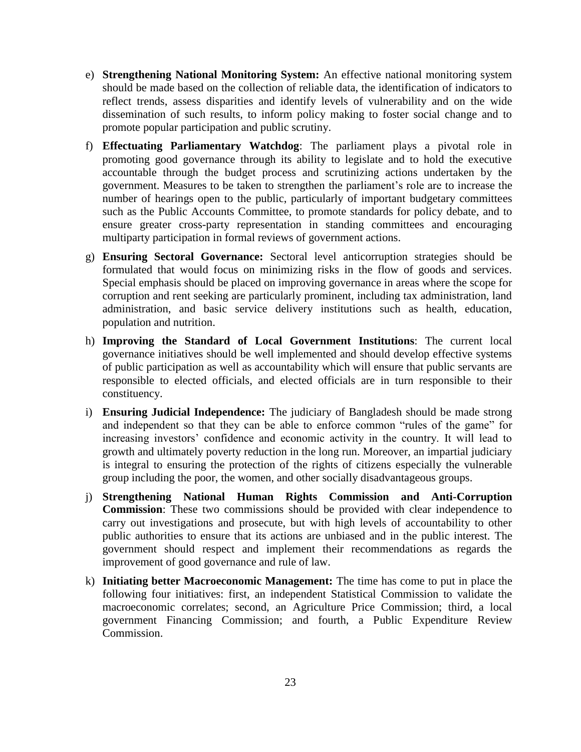- e) **Strengthening National Monitoring System:** An effective national monitoring system should be made based on the collection of reliable data, the identification of indicators to reflect trends, assess disparities and identify levels of vulnerability and on the wide dissemination of such results, to inform policy making to foster social change and to promote popular participation and public scrutiny.
- f) **Effectuating Parliamentary Watchdog**: The parliament plays a pivotal role in promoting good governance through its ability to legislate and to hold the executive accountable through the budget process and scrutinizing actions undertaken by the government. Measures to be taken to strengthen the parliament's role are to increase the number of hearings open to the public, particularly of important budgetary committees such as the Public Accounts Committee, to promote standards for policy debate, and to ensure greater cross-party representation in standing committees and encouraging multiparty participation in formal reviews of government actions.
- g) **Ensuring Sectoral Governance:** Sectoral level anticorruption strategies should be formulated that would focus on minimizing risks in the flow of goods and services. Special emphasis should be placed on improving governance in areas where the scope for corruption and rent seeking are particularly prominent, including tax administration, land administration, and basic service delivery institutions such as health, education, population and nutrition.
- h) **Improving the Standard of Local Government Institutions**: The current local governance initiatives should be well implemented and should develop effective systems of public participation as well as accountability which will ensure that public servants are responsible to elected officials, and elected officials are in turn responsible to their constituency.
- i) **Ensuring Judicial Independence:** The judiciary of Bangladesh should be made strong and independent so that they can be able to enforce common "rules of the game" for increasing investors' confidence and economic activity in the country. It will lead to growth and ultimately poverty reduction in the long run. Moreover, an impartial judiciary is integral to ensuring the protection of the rights of citizens especially the vulnerable group including the poor, the women, and other socially disadvantageous groups.
- j) **Strengthening National Human Rights Commission and Anti-Corruption Commission**: These two commissions should be provided with clear independence to carry out investigations and prosecute, but with high levels of accountability to other public authorities to ensure that its actions are unbiased and in the public interest. The government should respect and implement their recommendations as regards the improvement of good governance and rule of law.
- k) **Initiating better Macroeconomic Management:** The time has come to put in place the following four initiatives: first, an independent Statistical Commission to validate the macroeconomic correlates; second, an Agriculture Price Commission; third, a local government Financing Commission; and fourth, a Public Expenditure Review Commission.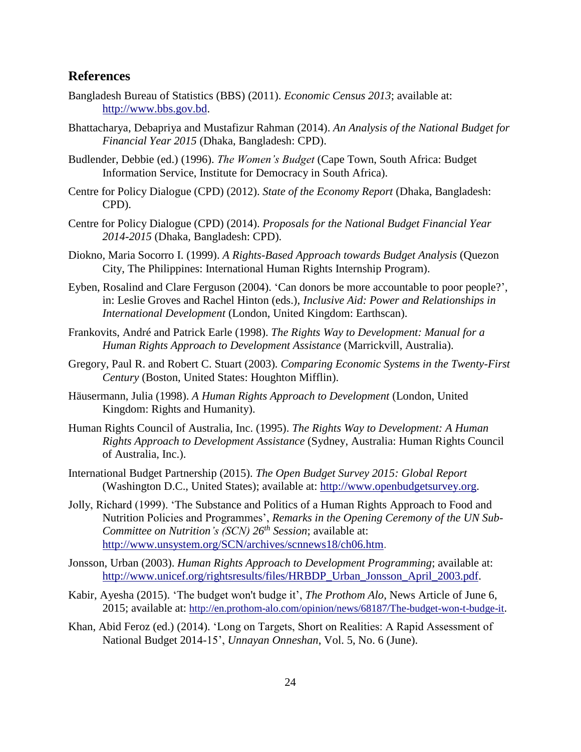### **References**

- Bangladesh Bureau of Statistics (BBS) (2011). *Economic Census 2013*; available at: [http://www.bbs.gov.bd.](http://www.bbs.gov.bd/)
- Bhattacharya, Debapriya and Mustafizur Rahman (2014). *An Analysis of the National Budget for Financial Year 2015* (Dhaka, Bangladesh: CPD).
- Budlender, Debbie (ed.) (1996). *The Women's Budget* (Cape Town, South Africa: Budget Information Service, Institute for Democracy in South Africa).
- Centre for Policy Dialogue (CPD) (2012). *State of the Economy Report* (Dhaka, Bangladesh: CPD).
- Centre for Policy Dialogue (CPD) (2014). *Proposals for the National Budget Financial Year 2014-2015* (Dhaka, Bangladesh: CPD).
- Diokno, Maria Socorro I. (1999). *A Rights-Based Approach towards Budget Analysis* (Quezon City, The Philippines: International Human Rights Internship Program).
- Eyben, Rosalind and Clare Ferguson (2004). 'Can donors be more accountable to poor people?', in: Leslie Groves and Rachel Hinton (eds.), *Inclusive Aid: Power and Relationships in International Development* (London, United Kingdom: Earthscan).
- Frankovits, André and Patrick Earle (1998). *The Rights Way to Development: Manual for a Human Rights Approach to Development Assistance* (Marrickvill, Australia).
- Gregory, Paul R. and Robert C. Stuart (2003). *Comparing Economic Systems in the Twenty-First Century* (Boston, United States: Houghton Mifflin).
- Häusermann, Julia (1998). *A Human Rights Approach to Development* (London, United Kingdom: Rights and Humanity).
- Human Rights Council of Australia, Inc. (1995). *The Rights Way to Development: A Human Rights Approach to Development Assistance* (Sydney, Australia: Human Rights Council of Australia, Inc.).
- International Budget Partnership (2015). *The Open Budget Survey 2015: Global Report* (Washington D.C., United States); available at: [http://www.openbudgetsurvey.org.](http://www.openbudgetsurvey.org/)
- Jolly, Richard (1999). 'The Substance and Politics of a Human Rights Approach to Food and Nutrition Policies and Programmes', *Remarks in the Opening Ceremony of the UN Sub-Committee on Nutrition's (SCN) 26th Session*; available at: [http://www.unsystem.org/SCN/archives/scnnews18/ch06.htm.](http://www.unsystem.org/SCN/archives/scnnews18/ch06.htm)
- Jonsson, Urban (2003). *Human Rights Approach to Development Programming*; available at: [http://www.unicef.org/rightsresults/files/HRBDP\\_Urban\\_Jonsson\\_April\\_2003.pdf.](http://www.unicef.org/rightsresults/files/HRBDP_Urban_Jonsson_April_2003.pdf)
- Kabir, Ayesha (2015). 'The budget won't budge it', *The Prothom Alo*, News Article of June 6, 2015; available at: <http://en.prothom-alo.com/opinion/news/68187/The-budget-won-t-budge-it>.
- Khan, Abid Feroz (ed.) (2014). 'Long on Targets, Short on Realities: A Rapid Assessment of National Budget 2014-15', *Unnayan Onneshan*, Vol. 5, No. 6 (June).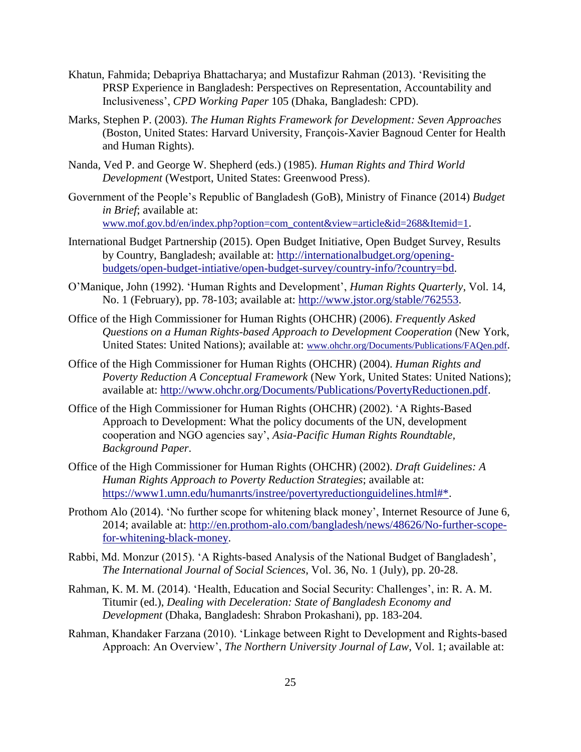- Khatun, Fahmida; Debapriya Bhattacharya; and Mustafizur Rahman (2013). 'Revisiting the PRSP Experience in Bangladesh: Perspectives on Representation, Accountability and Inclusiveness', *CPD Working Paper* 105 (Dhaka, Bangladesh: CPD).
- Marks, Stephen P. (2003). *The Human Rights Framework for Development: Seven Approaches* (Boston, United States: Harvard University, François-Xavier Bagnoud Center for Health and Human Rights).
- Nanda, Ved P. and George W. Shepherd (eds.) (1985). *Human Rights and Third World Development* (Westport, United States: Greenwood Press).
- Government of the People's Republic of Bangladesh (GoB), Ministry of Finance (2014) *Budget in Brief*; available at: [www.mof.gov.bd/en/index.php?option=com\\_content&view=article&id=268&Itemid=1](http://www.mof.gov.bd/en/index.php?option=com_content&view=article&id=268&Itemid=1).
- International Budget Partnership (2015). Open Budget Initiative, Open Budget Survey, Results by Country, Bangladesh; available at: [http://internationalbudget.org/opening](http://internationalbudget.org/opening-budgets/open-budget-intiative/open-budget-survey/country-info/?country=bd)[budgets/open-budget-intiative/open-budget-survey/country-info/?country=bd.](http://internationalbudget.org/opening-budgets/open-budget-intiative/open-budget-survey/country-info/?country=bd)
- O'Manique, John (1992). 'Human Rights and Development', *Human Rights Quarterly*, Vol. 14, No. 1 (February), pp. 78-103; available at: [http://www.jstor.org/stable/762553.](http://www.jstor.org/stable/762553)
- Office of the High Commissioner for Human Rights (OHCHR) (2006). *Frequently Asked Questions on a Human Rights-based Approach to Development Cooperation* (New York, United States: United Nations); available at: [www.ohchr.org/Documents/Publications/FAQen.pdf](http://www.ohchr.org/Documents/Publications/FAQen.pdf).
- Office of the High Commissioner for Human Rights (OHCHR) (2004). *Human Rights and Poverty Reduction A Conceptual Framework* (New York, United States: United Nations); available at: [http://www.ohchr.org/Documents/Publications/PovertyReductionen.pdf.](http://www.ohchr.org/Documents/Publications/PovertyReductionen.pdf)
- Office of the High Commissioner for Human Rights (OHCHR) (2002). 'A Rights-Based Approach to Development: What the policy documents of the UN, development cooperation and NGO agencies say', *Asia-Pacific Human Rights Roundtable, Background Paper*.
- Office of the High Commissioner for Human Rights (OHCHR) (2002). *Draft Guidelines: A Human Rights Approach to Poverty Reduction Strategies*; available at: [https://www1.umn.edu/humanrts/instree/povertyreductionguidelines.html#\\*.](https://www1.umn.edu/humanrts/instree/povertyreductionguidelines.html#*)
- Prothom Alo (2014). 'No further scope for whitening black money', Internet Resource of June 6, 2014; available at: [http://en.prothom-alo.com/bangladesh/news/48626/No-further-scope](http://en.prothom-alo.com/bangladesh/news/48626/No-further-scope-for-whitening-black-money)[for-whitening-black-money.](http://en.prothom-alo.com/bangladesh/news/48626/No-further-scope-for-whitening-black-money)
- Rabbi, Md. Monzur (2015). 'A Rights-based Analysis of the National Budget of Bangladesh', *The International Journal of Social Sciences*, Vol. 36, No. 1 (July), pp. 20-28.
- Rahman, K. M. M. (2014). 'Health, Education and Social Security: Challenges', in: R. A. M. Titumir (ed.), *Dealing with Deceleration: State of Bangladesh Economy and Development* (Dhaka, Bangladesh: Shrabon Prokashani), pp. 183-204.
- Rahman, Khandaker Farzana (2010). 'Linkage between Right to Development and Rights-based Approach: An Overview', *The Northern University Journal of Law*, Vol. 1; available at: